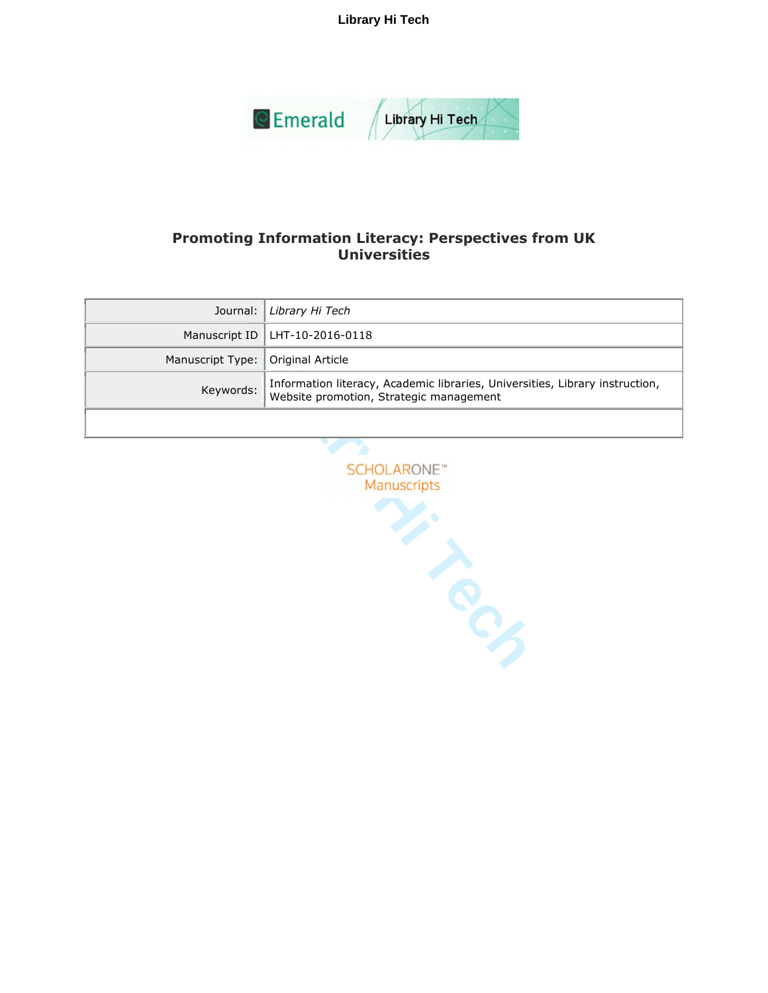**Library Hi Tech**



# **Promoting Information Literacy: Perspectives from UK Universities**

|                                     | Journal: Library Hi Tech                                                                                                |
|-------------------------------------|-------------------------------------------------------------------------------------------------------------------------|
|                                     | Manuscript ID   LHT-10-2016-0118                                                                                        |
| Manuscript Type:   Original Article |                                                                                                                         |
| Keywords:                           | Information literacy, Academic libraries, Universities, Library instruction,<br>Website promotion, Strategic management |
|                                     |                                                                                                                         |

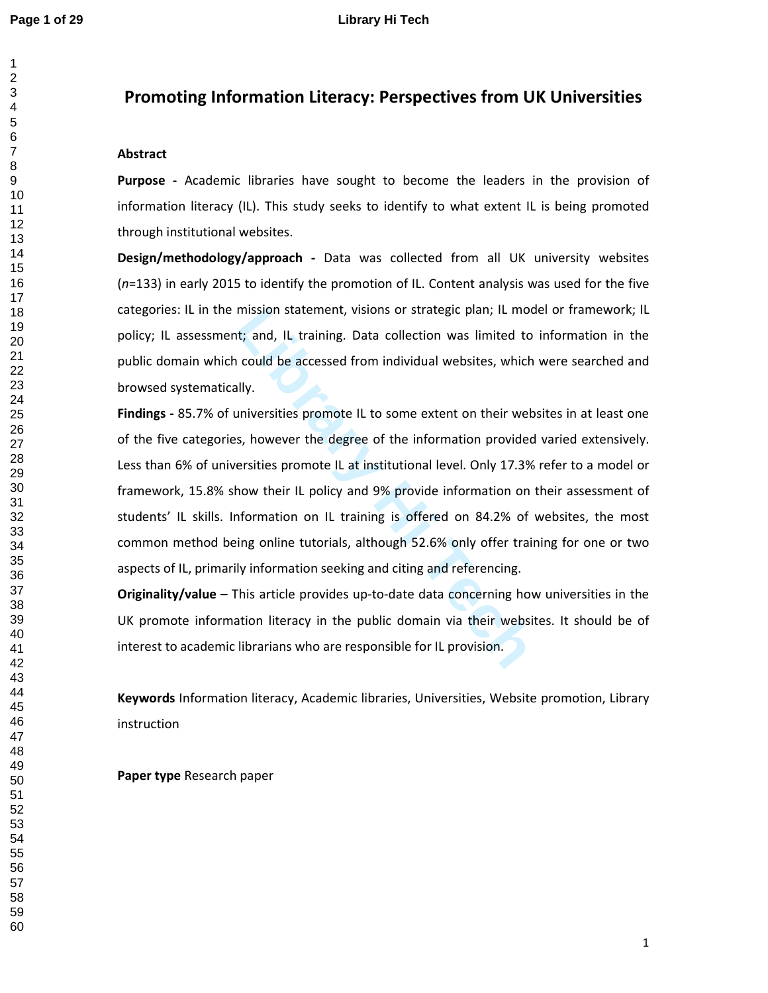# **Promoting Information Literacy: Perspectives from UK Universities**

## **Abstract**

**Purpose -** Academic libraries have sought to become the leaders in the provision of information literacy (IL). This study seeks to identify to what extent IL is being promoted through institutional websites.

**Design/methodology/approach -** Data was collected from all UK university websites (*n*=133) in early 2015 to identify the promotion of IL. Content analysis was used for the five categories: IL in the mission statement, visions or strategic plan; IL model or framework; IL policy; IL assessment; and, IL training. Data collection was limited to information in the public domain which could be accessed from individual websites, which were searched and browsed systematically.

mission statement, visions or strategic plan; IL mod<br>t; and, IL training. Data collection was limited to<br>could be accessed from individual websites, which<br>lly.<br>miversities promote IL to some extent on their web:<br>s, however **Findings -** 85.7% of universities promote IL to some extent on their websites in at least one of the five categories, however the degree of the information provided varied extensively. Less than 6% of universities promote IL at institutional level. Only 17.3% refer to a model or framework, 15.8% show their IL policy and 9% provide information on their assessment of students' IL skills. Information on IL training is offered on 84.2% of websites, the most common method being online tutorials, although 52.6% only offer training for one or two aspects of IL, primarily information seeking and citing and referencing.

**Originality/value –** This article provides up-to-date data concerning how universities in the UK promote information literacy in the public domain via their websites. It should be of interest to academic librarians who are responsible for IL provision.

**Keywords** Information literacy, Academic libraries, Universities, Website promotion, Library instruction

**Paper type** Research paper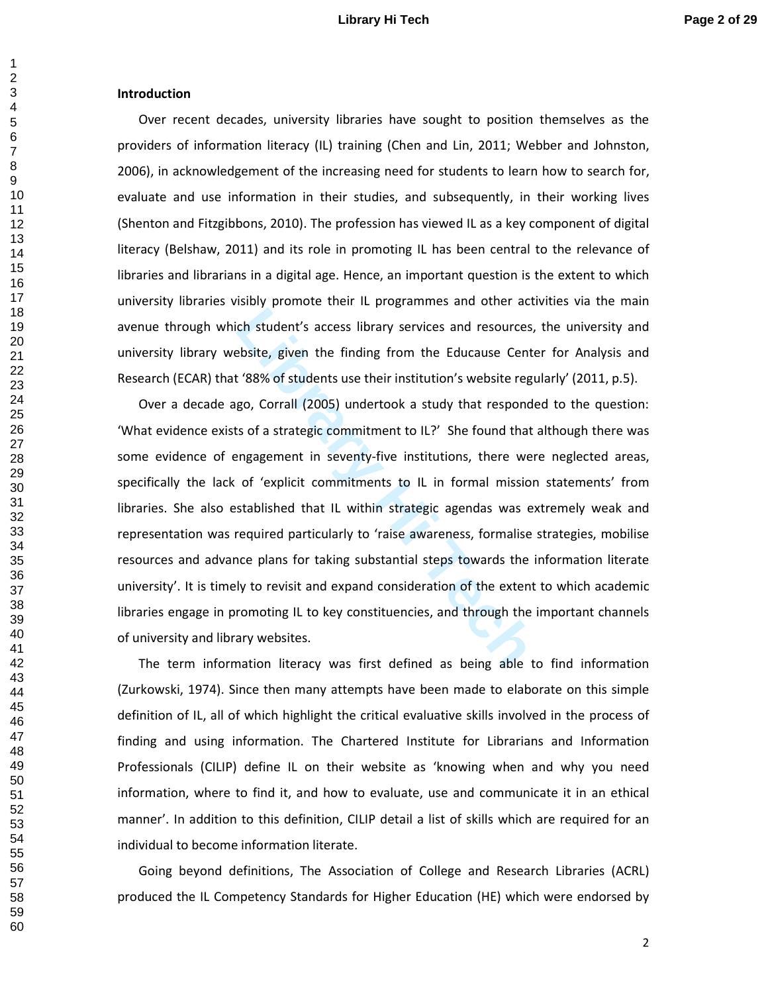### **Introduction**

Over recent decades, university libraries have sought to position themselves as the providers of information literacy (IL) training (Chen and Lin, 2011; Webber and Johnston, 2006), in acknowledgement of the increasing need for students to learn how to search for, evaluate and use information in their studies, and subsequently, in their working lives (Shenton and Fitzgibbons, 2010). The profession has viewed IL as a key component of digital literacy (Belshaw, 2011) and its role in promoting IL has been central to the relevance of libraries and librarians in a digital age. Hence, an important question is the extent to which university libraries visibly promote their IL programmes and other activities via the main avenue through which student's access library services and resources, the university and university library website, given the finding from the Educause Center for Analysis and Research (ECAR) that '88% of students use their institution's website regularly' (2011, p.5).

<sup>1</sup><br>
Library services and resources,<br>
Library services and resources,<br>
Library services and resources,<br>
Library services and resources<br>
Library of S8% of students use their institution's website regu<br>
go, Corrall (2005) un Over a decade ago, Corrall (2005) undertook a study that responded to the question: 'What evidence exists of a strategic commitment to IL?' She found that although there was some evidence of engagement in seventy-five institutions, there were neglected areas, specifically the lack of 'explicit commitments to IL in formal mission statements' from libraries. She also established that IL within strategic agendas was extremely weak and representation was required particularly to 'raise awareness, formalise strategies, mobilise resources and advance plans for taking substantial steps towards the information literate university'. It is timely to revisit and expand consideration of the extent to which academic libraries engage in promoting IL to key constituencies, and through the important channels of university and library websites.

The term information literacy was first defined as being able to find information (Zurkowski, 1974). Since then many attempts have been made to elaborate on this simple definition of IL, all of which highlight the critical evaluative skills involved in the process of finding and using information. The Chartered Institute for Librarians and Information Professionals (CILIP) define IL on their website as 'knowing when and why you need information, where to find it, and how to evaluate, use and communicate it in an ethical manner'. In addition to this definition, CILIP detail a list of skills which are required for an individual to become information literate.

Going beyond definitions, The Association of College and Research Libraries (ACRL) produced the IL Competency Standards for Higher Education (HE) which were endorsed by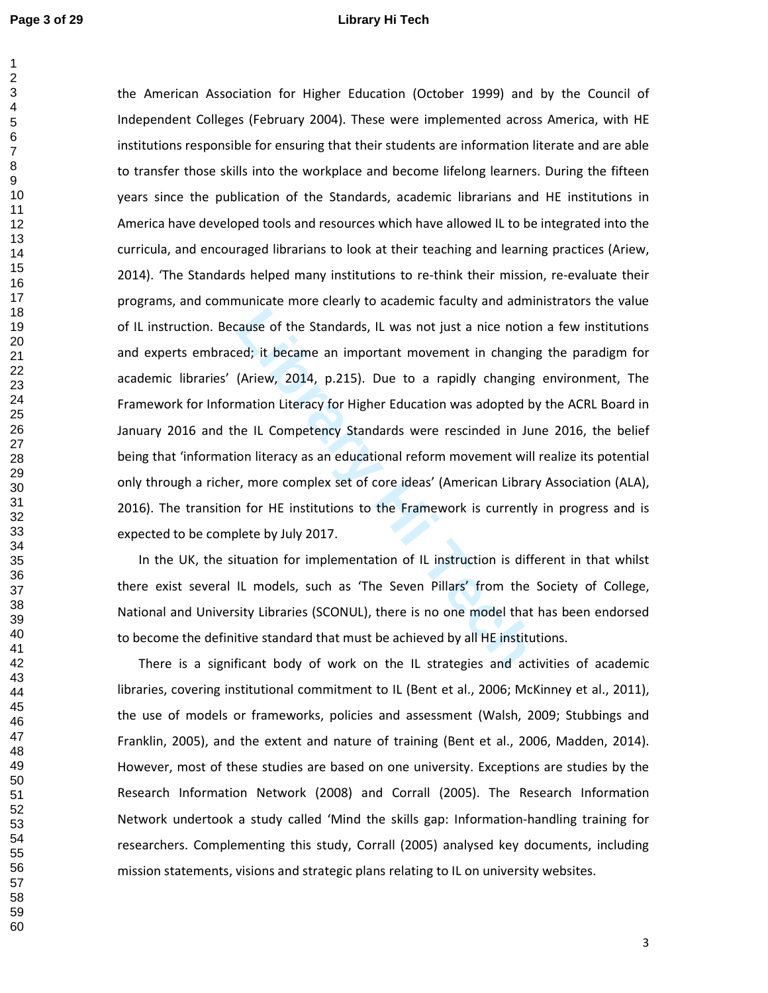$\mathbf{1}$ 

### **Page 3 of 29 Library Hi Tech**

Example of the Standards, IL was not just a nice notion<br>ed; it became an important movement in changing<br>(Ariew, 2014, p.215). Due to a rapidly changing<br>mation Literacy for Higher Education was adopted by<br>ne IL Competency S the American Association for Higher Education (October 1999) and by the Council of Independent Colleges (February 2004). These were implemented across America, with HE institutions responsible for ensuring that their students are information literate and are able to transfer those skills into the workplace and become lifelong learners. During the fifteen years since the publication of the Standards, academic librarians and HE institutions in America have developed tools and resources which have allowed IL to be integrated into the curricula, and encouraged librarians to look at their teaching and learning practices (Ariew, 2014). 'The Standards helped many institutions to re-think their mission, re-evaluate their programs, and communicate more clearly to academic faculty and administrators the value of IL instruction. Because of the Standards, IL was not just a nice notion a few institutions and experts embraced; it became an important movement in changing the paradigm for academic libraries' (Ariew, 2014, p.215). Due to a rapidly changing environment, The Framework for Information Literacy for Higher Education was adopted by the ACRL Board in January 2016 and the IL Competency Standards were rescinded in June 2016, the belief being that 'information literacy as an educational reform movement will realize its potential only through a richer, more complex set of core ideas' (American Library Association (ALA), 2016). The transition for HE institutions to the Framework is currently in progress and is expected to be complete by July 2017.

In the UK, the situation for implementation of IL instruction is different in that whilst there exist several IL models, such as 'The Seven Pillars' from the Society of College, National and University Libraries (SCONUL), there is no one model that has been endorsed to become the definitive standard that must be achieved by all HE institutions.

There is a significant body of work on the IL strategies and activities of academic libraries, covering institutional commitment to IL (Bent et al., 2006; McKinney et al., 2011), the use of models or frameworks, policies and assessment (Walsh, 2009; Stubbings and Franklin, 2005), and the extent and nature of training (Bent et al., 2006, Madden, 2014). However, most of these studies are based on one university. Exceptions are studies by the Research Information Network (2008) and Corrall (2005). The Research Information Network undertook a study called 'Mind the skills gap: Information-handling training for researchers. Complementing this study, Corrall (2005) analysed key documents, including mission statements, visions and strategic plans relating to IL on university websites.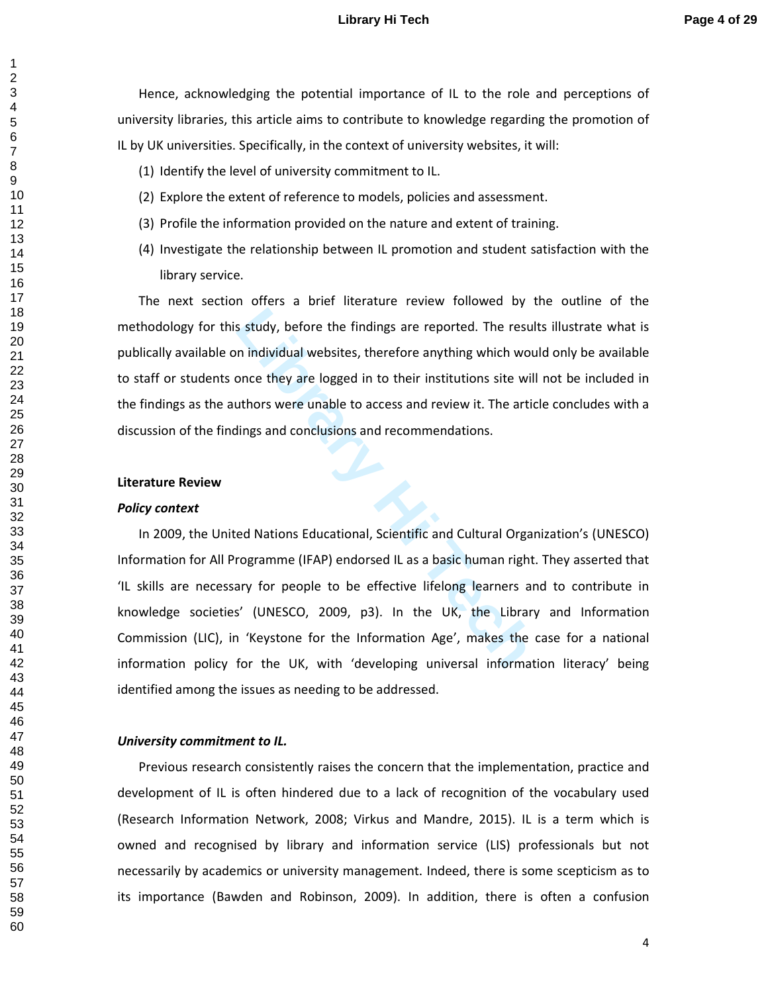## **Library Hi Tech Page 4 of 29**

Hence, acknowledging the potential importance of IL to the role and perceptions of university libraries, this article aims to contribute to knowledge regarding the promotion of IL by UK universities. Specifically, in the context of university websites, it will:

- (1) Identify the level of university commitment to IL.
- (2) Explore the extent of reference to models, policies and assessment.
- (3) Profile the information provided on the nature and extent of training.
- (4) Investigate the relationship between IL promotion and student satisfaction with the library service.

The next section offers a brief literature review followed by the outline of the methodology for this study, before the findings are reported. The results illustrate what is publically available on individual websites, therefore anything which would only be available to staff or students once they are logged in to their institutions site will not be included in the findings as the authors were unable to access and review it. The article concludes with a discussion of the findings and conclusions and recommendations.

#### **Literature Review**

#### *Policy context*

**Lackter Study, before the findings are reported. The result in individual websites, therefore anything which wou<br>
Discursive with the artic unity which we unable to access and review it. The artic<br>
dings and conclusions a** In 2009, the United Nations Educational, Scientific and Cultural Organization's (UNESCO) Information for All Programme (IFAP) endorsed IL as a basic human right. They asserted that 'IL skills are necessary for people to be effective lifelong learners and to contribute in knowledge societies' (UNESCO, 2009, p3). In the UK, the Library and Information Commission (LIC), in 'Keystone for the Information Age', makes the case for a national information policy for the UK, with 'developing universal information literacy' being identified among the issues as needing to be addressed.

#### *University commitment to IL.*

Previous research consistently raises the concern that the implementation, practice and development of IL is often hindered due to a lack of recognition of the vocabulary used (Research Information Network, 2008; Virkus and Mandre, 2015). IL is a term which is owned and recognised by library and information service (LIS) professionals but not necessarily by academics or university management. Indeed, there is some scepticism as to its importance (Bawden and Robinson, 2009). In addition, there is often a confusion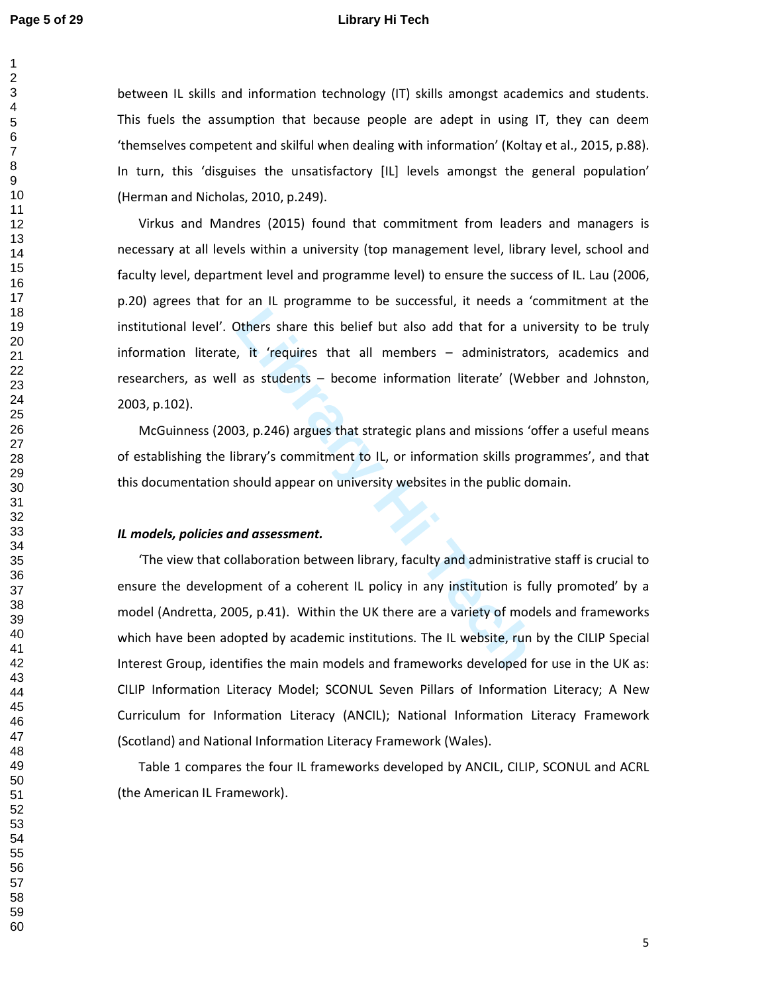$\mathbf{1}$ 

### **Page 5 of 29 Library Hi Tech**

between IL skills and information technology (IT) skills amongst academics and students. This fuels the assumption that because people are adept in using IT, they can deem 'themselves competent and skilful when dealing with information' (Koltay et al., 2015, p.88). In turn, this 'disguises the unsatisfactory [IL] levels amongst the general population' (Herman and Nicholas, 2010, p.249).

Virkus and Mandres (2015) found that commitment from leaders and managers is necessary at all levels within a university (top management level, library level, school and faculty level, department level and programme level) to ensure the success of IL. Lau (2006, p.20) agrees that for an IL programme to be successful, it needs a 'commitment at the institutional level'. Others share this belief but also add that for a university to be truly information literate, it 'requires that all members – administrators, academics and researchers, as well as students – become information literate' (Webber and Johnston, 2003, p.102).

McGuinness (2003, p.246) argues that strategic plans and missions 'offer a useful means of establishing the library's commitment to IL, or information skills programmes', and that this documentation should appear on university websites in the public domain.

### *IL models, policies and assessment.*

Dithers share this belief but also add that for a un<br>
it 'requires that all members – administrator<br>
as students – become information literate' (Web<br>
13, p.246) argues that strategic plans and missions 'o<br>
brary's commitme 'The view that collaboration between library, faculty and administrative staff is crucial to ensure the development of a coherent IL policy in any institution is fully promoted' by a model (Andretta, 2005, p.41). Within the UK there are a variety of models and frameworks which have been adopted by academic institutions. The IL website, run by the CILIP Special Interest Group, identifies the main models and frameworks developed for use in the UK as: CILIP Information Literacy Model; SCONUL Seven Pillars of Information Literacy; A New Curriculum for Information Literacy (ANCIL); National Information Literacy Framework (Scotland) and National Information Literacy Framework (Wales).

Table 1 compares the four IL frameworks developed by ANCIL, CILIP, SCONUL and ACRL (the American IL Framework).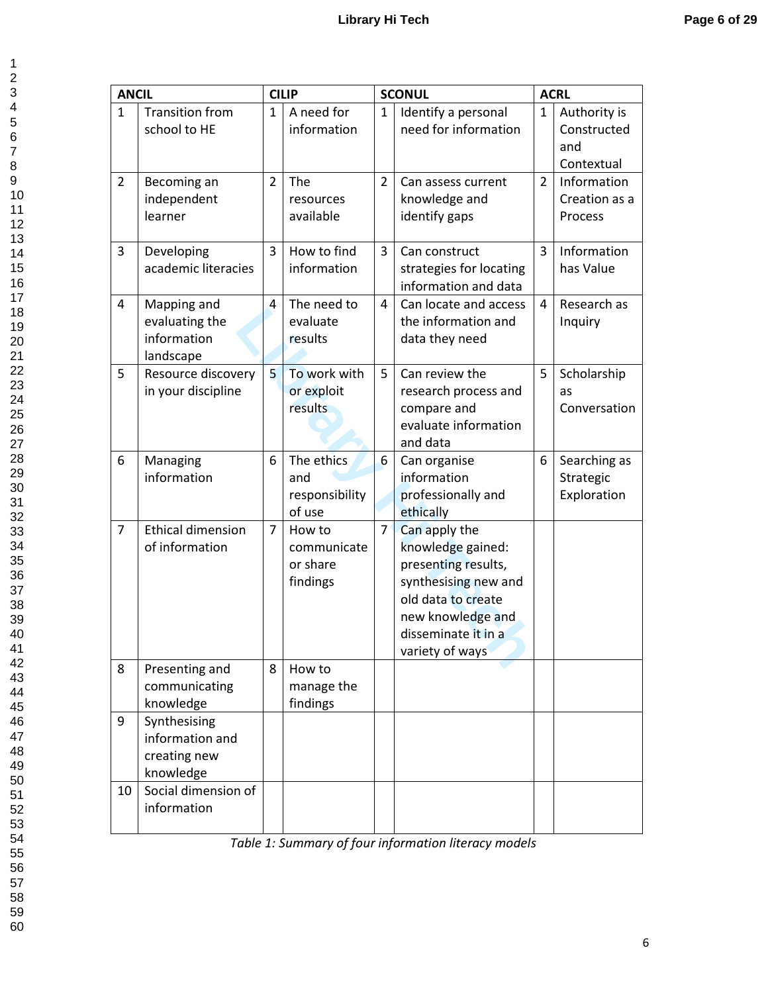| <b>ANCIL</b>   |                                                              |              | <b>CILIP</b>                                  |                | <b>SCONUL</b>                                                                                                                                                          |                | <b>ACRL</b>                                      |
|----------------|--------------------------------------------------------------|--------------|-----------------------------------------------|----------------|------------------------------------------------------------------------------------------------------------------------------------------------------------------------|----------------|--------------------------------------------------|
| 1              | <b>Transition from</b><br>school to HE                       | $\mathbf{1}$ | A need for<br>information                     | $\mathbf{1}$   | Identify a personal<br>need for information                                                                                                                            | $\mathbf{1}$   | Authority is<br>Constructed<br>and<br>Contextual |
| $\overline{2}$ | Becoming an<br>independent<br>learner                        | 2            | The<br>resources<br>available                 | $\overline{2}$ | Can assess current<br>knowledge and<br>identify gaps                                                                                                                   | $\overline{2}$ | Information<br>Creation as a<br>Process          |
| 3              | Developing<br>academic literacies                            | 3            | How to find<br>information                    | $\overline{3}$ | Can construct<br>strategies for locating<br>information and data                                                                                                       | 3              | Information<br>has Value                         |
| 4              | Mapping and<br>evaluating the<br>information<br>landscape    | 4            | The need to<br>evaluate<br>results            | 4              | Can locate and access<br>the information and<br>data they need                                                                                                         | 4              | Research as<br>Inquiry                           |
| 5              | Resource discovery<br>in your discipline                     | 5            | To work with<br>or exploit<br>results         | 5              | Can review the<br>research process and<br>compare and<br>evaluate information<br>and data                                                                              | 5              | Scholarship<br>as<br>Conversation                |
| 6              | Managing<br>information                                      | 6            | The ethics<br>and<br>responsibility<br>of use | 6              | Can organise<br>information<br>professionally and<br>ethically                                                                                                         | 6              | Searching as<br>Strategic<br>Exploration         |
| 7              | <b>Ethical dimension</b><br>of information                   | 7            | How to<br>communicate<br>or share<br>findings | $\overline{7}$ | Can apply the<br>knowledge gained:<br>presenting results,<br>synthesising new and<br>old data to create<br>new knowledge and<br>disseminate it in a<br>variety of ways |                |                                                  |
| 8              | Presenting and<br>communicating<br>knowledge                 | 8            | How to<br>manage the<br>findings              |                |                                                                                                                                                                        |                |                                                  |
| 9              | Synthesising<br>information and<br>creating new<br>knowledge |              |                                               |                |                                                                                                                                                                        |                |                                                  |
| 10             | Social dimension of<br>information                           |              |                                               |                |                                                                                                                                                                        |                |                                                  |

*Table 1: Summary of four information literacy models*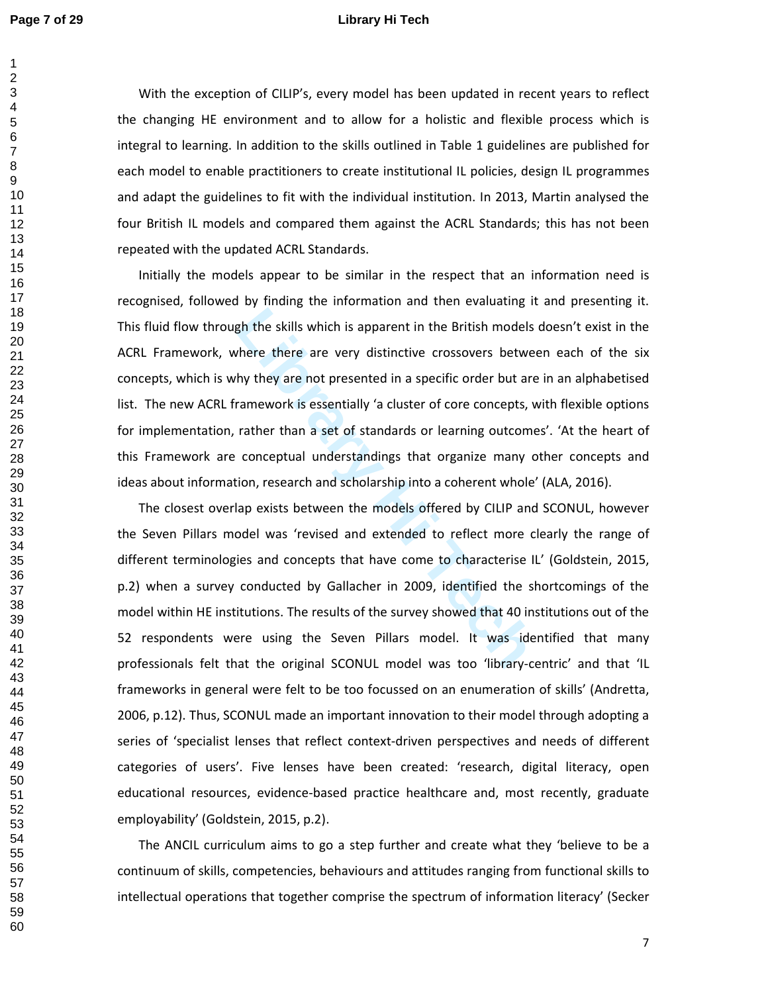### **Page 7 of 29 Library Hi Tech**

 $\mathbf{1}$  $\overline{2}$ 

With the exception of CILIP's, every model has been updated in recent years to reflect the changing HE environment and to allow for a holistic and flexible process which is integral to learning. In addition to the skills outlined in Table 1 guidelines are published for each model to enable practitioners to create institutional IL policies, design IL programmes and adapt the guidelines to fit with the individual institution. In 2013, Martin analysed the four British IL models and compared them against the ACRL Standards; this has not been repeated with the updated ACRL Standards.

The skills which is apparent in the British models<br>there there are very distinctive crossovers between<br>thy they are not presented in a specific order but are<br>ramework is essentially 'a cluster of core concepts, v<br>rather th Initially the models appear to be similar in the respect that an information need is recognised, followed by finding the information and then evaluating it and presenting it. This fluid flow through the skills which is apparent in the British models doesn't exist in the ACRL Framework, where there are very distinctive crossovers between each of the six concepts, which is why they are not presented in a specific order but are in an alphabetised list. The new ACRL framework is essentially 'a cluster of core concepts, with flexible options for implementation, rather than a set of standards or learning outcomes'. 'At the heart of this Framework are conceptual understandings that organize many other concepts and ideas about information, research and scholarship into a coherent whole' (ALA, 2016).

The closest overlap exists between the models offered by CILIP and SCONUL, however the Seven Pillars model was 'revised and extended to reflect more clearly the range of different terminologies and concepts that have come to characterise IL' (Goldstein, 2015, p.2) when a survey conducted by Gallacher in 2009, identified the shortcomings of the model within HE institutions. The results of the survey showed that 40 institutions out of the 52 respondents were using the Seven Pillars model. It was identified that many professionals felt that the original SCONUL model was too 'library-centric' and that 'IL frameworks in general were felt to be too focussed on an enumeration of skills' (Andretta, 2006, p.12). Thus, SCONUL made an important innovation to their model through adopting a series of 'specialist lenses that reflect context-driven perspectives and needs of different categories of users'. Five lenses have been created: 'research, digital literacy, open educational resources, evidence-based practice healthcare and, most recently, graduate employability' (Goldstein, 2015, p.2).

The ANCIL curriculum aims to go a step further and create what they 'believe to be a continuum of skills, competencies, behaviours and attitudes ranging from functional skills to intellectual operations that together comprise the spectrum of information literacy' (Secker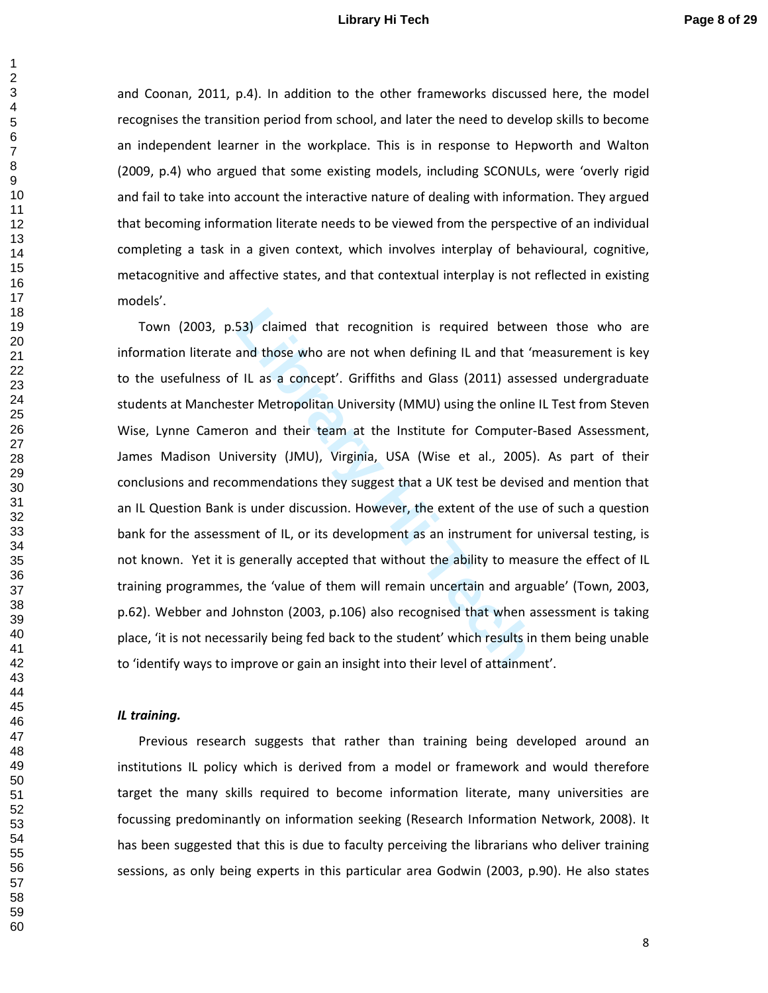## **Library Hi Tech Page 8 of 29**

and Coonan, 2011, p.4). In addition to the other frameworks discussed here, the model recognises the transition period from school, and later the need to develop skills to become an independent learner in the workplace. This is in response to Hepworth and Walton (2009, p.4) who argued that some existing models, including SCONULs, were 'overly rigid and fail to take into account the interactive nature of dealing with information. They argued that becoming information literate needs to be viewed from the perspective of an individual completing a task in a given context, which involves interplay of behavioural, cognitive, metacognitive and affective states, and that contextual interplay is not reflected in existing models'.

53) claimed that recognition is required betwee<br>and those who are not when defining IL and that 'n<br>FIL as a concept'. Griffiths and Glass (2011) asses<br>ter Metropolitan University (MMU) using the online<br>on and their team at Town (2003, p.53) claimed that recognition is required between those who are information literate and those who are not when defining IL and that 'measurement is key to the usefulness of IL as a concept'. Griffiths and Glass (2011) assessed undergraduate students at Manchester Metropolitan University (MMU) using the online IL Test from Steven Wise, Lynne Cameron and their team at the Institute for Computer-Based Assessment, James Madison University (JMU), Virginia, USA (Wise et al., 2005). As part of their conclusions and recommendations they suggest that a UK test be devised and mention that an IL Question Bank is under discussion. However, the extent of the use of such a question bank for the assessment of IL, or its development as an instrument for universal testing, is not known. Yet it is generally accepted that without the ability to measure the effect of IL training programmes, the 'value of them will remain uncertain and arguable' (Town, 2003, p.62). Webber and Johnston (2003, p.106) also recognised that when assessment is taking place, 'it is not necessarily being fed back to the student' which results in them being unable to 'identify ways to improve or gain an insight into their level of attainment'.

### *IL training.*

Previous research suggests that rather than training being developed around an institutions IL policy which is derived from a model or framework and would therefore target the many skills required to become information literate, many universities are focussing predominantly on information seeking (Research Information Network, 2008). It has been suggested that this is due to faculty perceiving the librarians who deliver training sessions, as only being experts in this particular area Godwin (2003, p.90). He also states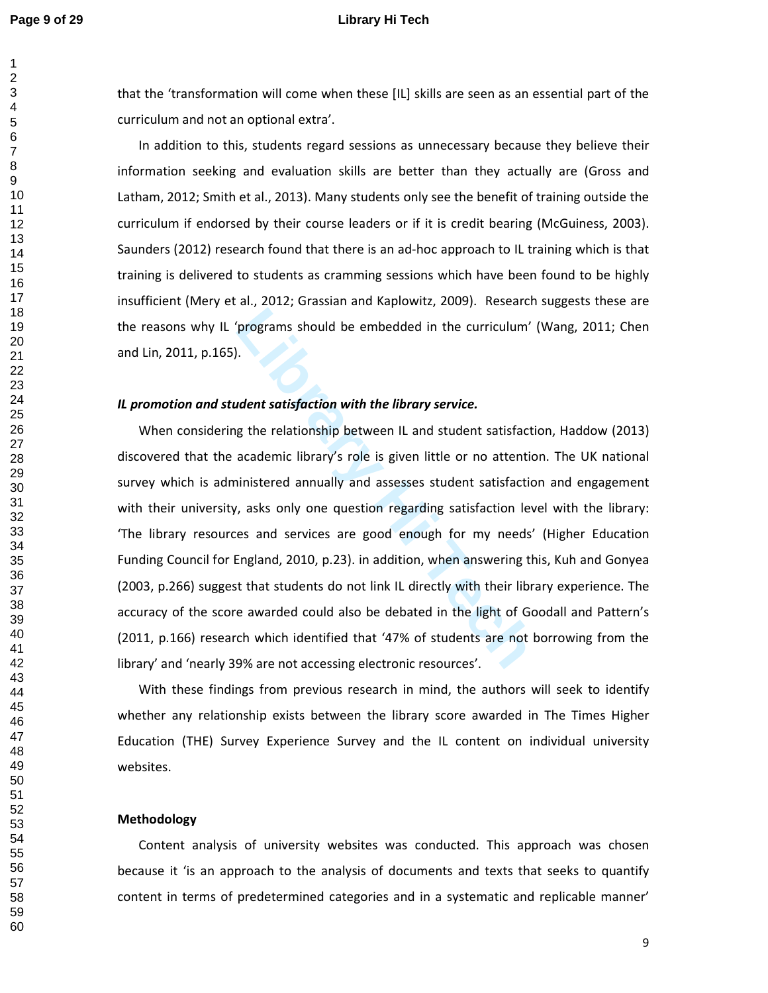### **Page 9 of 29 Library Hi Tech**

that the 'transformation will come when these [IL] skills are seen as an essential part of the curriculum and not an optional extra'.

In addition to this, students regard sessions as unnecessary because they believe their information seeking and evaluation skills are better than they actually are (Gross and Latham, 2012; Smith et al., 2013). Many students only see the benefit of training outside the curriculum if endorsed by their course leaders or if it is credit bearing (McGuiness, 2003). Saunders (2012) research found that there is an ad-hoc approach to IL training which is that training is delivered to students as cramming sessions which have been found to be highly insufficient (Mery et al., 2012; Grassian and Kaplowitz, 2009). Research suggests these are the reasons why IL 'programs should be embedded in the curriculum' (Wang, 2011; Chen and Lin, 2011, p.165).

### *IL promotion and student satisfaction with the library service.*

programs should be embedded in the curriculum'<br> **Library Service.**<br>
Let us the relationship between IL and student satisfaction<br>
academic library's role is given little or no attention<br>
inistered annually and assesses stud When considering the relationship between IL and student satisfaction, Haddow (2013) discovered that the academic library's role is given little or no attention. The UK national survey which is administered annually and assesses student satisfaction and engagement with their university, asks only one question regarding satisfaction level with the library: 'The library resources and services are good enough for my needs' (Higher Education Funding Council for England, 2010, p.23). in addition, when answering this, Kuh and Gonyea (2003, p.266) suggest that students do not link IL directly with their library experience. The accuracy of the score awarded could also be debated in the light of Goodall and Pattern's (2011, p.166) research which identified that '47% of students are not borrowing from the library' and 'nearly 39% are not accessing electronic resources'.

With these findings from previous research in mind, the authors will seek to identify whether any relationship exists between the library score awarded in The Times Higher Education (THE) Survey Experience Survey and the IL content on individual university websites.

## **Methodology**

Content analysis of university websites was conducted. This approach was chosen because it 'is an approach to the analysis of documents and texts that seeks to quantify content in terms of predetermined categories and in a systematic and replicable manner'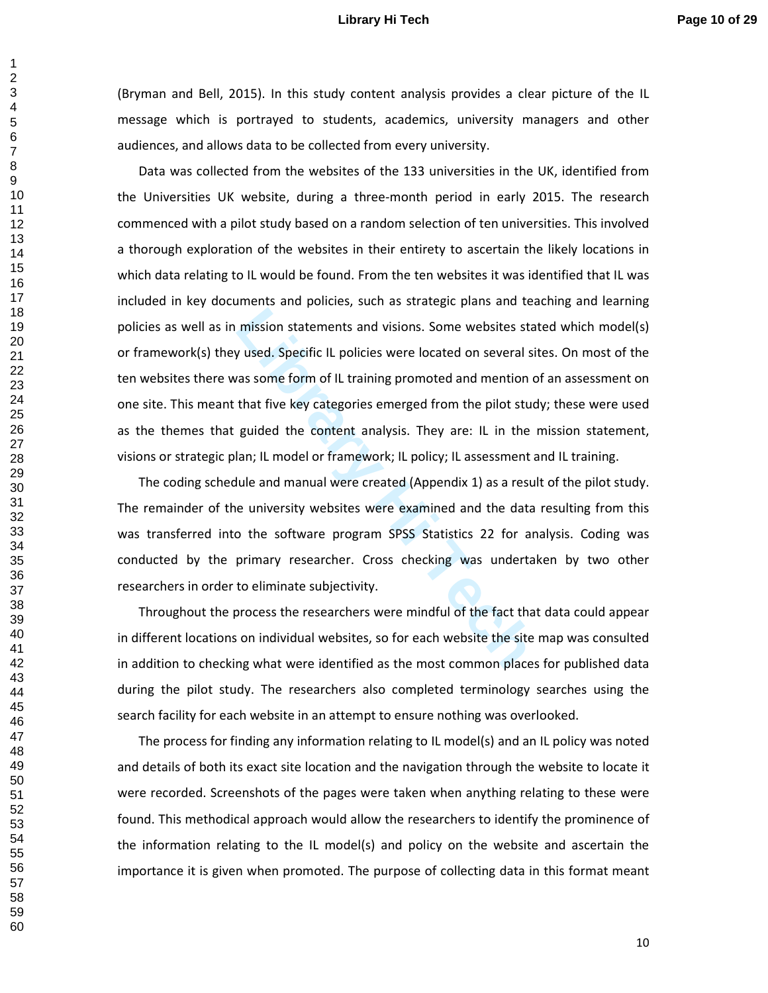## **Library Hi Tech Page 10 of 29**

(Bryman and Bell, 2015). In this study content analysis provides a clear picture of the IL message which is portrayed to students, academics, university managers and other audiences, and allows data to be collected from every university.

mission statements and visions. Some websites sta<br> **Library used.** Specific IL policies were located on several si<br>
ras some form of IL training promoted and mention c<br>
that five key categories emerged from the pilot stuce Data was collected from the websites of the 133 universities in the UK, identified from the Universities UK website, during a three-month period in early 2015. The research commenced with a pilot study based on a random selection of ten universities. This involved a thorough exploration of the websites in their entirety to ascertain the likely locations in which data relating to IL would be found. From the ten websites it was identified that IL was included in key documents and policies, such as strategic plans and teaching and learning policies as well as in mission statements and visions. Some websites stated which model(s) or framework(s) they used. Specific IL policies were located on several sites. On most of the ten websites there was some form of IL training promoted and mention of an assessment on one site. This meant that five key categories emerged from the pilot study; these were used as the themes that guided the content analysis. They are: IL in the mission statement, visions or strategic plan; IL model or framework; IL policy; IL assessment and IL training.

The coding schedule and manual were created (Appendix 1) as a result of the pilot study. The remainder of the university websites were examined and the data resulting from this was transferred into the software program SPSS Statistics 22 for analysis. Coding was conducted by the primary researcher. Cross checking was undertaken by two other researchers in order to eliminate subjectivity.

Throughout the process the researchers were mindful of the fact that data could appear in different locations on individual websites, so for each website the site map was consulted in addition to checking what were identified as the most common places for published data during the pilot study. The researchers also completed terminology searches using the search facility for each website in an attempt to ensure nothing was overlooked.

The process for finding any information relating to IL model(s) and an IL policy was noted and details of both its exact site location and the navigation through the website to locate it were recorded. Screenshots of the pages were taken when anything relating to these were found. This methodical approach would allow the researchers to identify the prominence of the information relating to the IL model(s) and policy on the website and ascertain the importance it is given when promoted. The purpose of collecting data in this format meant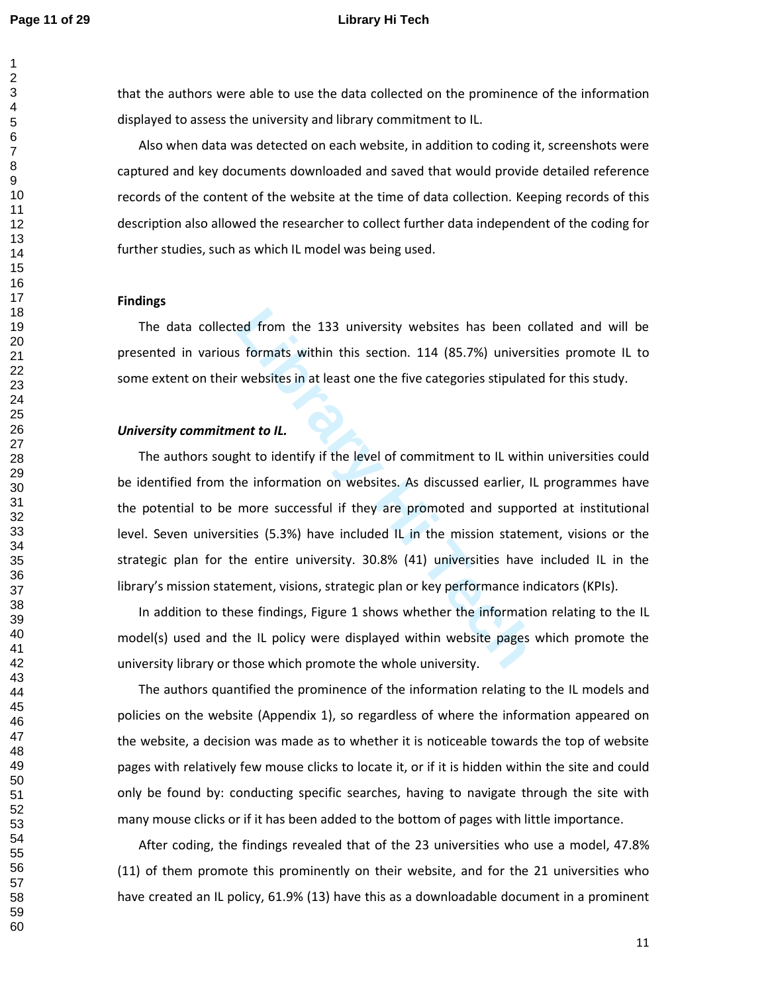### **Page 11 of 29 Library Hi Tech**

that the authors were able to use the data collected on the prominence of the information displayed to assess the university and library commitment to IL.

Also when data was detected on each website, in addition to coding it, screenshots were captured and key documents downloaded and saved that would provide detailed reference records of the content of the website at the time of data collection. Keeping records of this description also allowed the researcher to collect further data independent of the coding for further studies, such as which IL model was being used.

### **Findings**

The data collected from the 133 university websites has been collated and will be presented in various formats within this section. 114 (85.7%) universities promote IL to some extent on their websites in at least one the five categories stipulated for this study.

## *University commitment to IL.*

ed from the 133 university websites has been composed formats within this section. 114 (85.7%) university websites in at least one the five categories stipulate **ent to IL.**<br> **Light to identify if the level of commitment t** The authors sought to identify if the level of commitment to IL within universities could be identified from the information on websites. As discussed earlier, IL programmes have the potential to be more successful if they are promoted and supported at institutional level. Seven universities (5.3%) have included IL in the mission statement, visions or the strategic plan for the entire university. 30.8% (41) universities have included IL in the library's mission statement, visions, strategic plan or key performance indicators (KPIs).

In addition to these findings, Figure 1 shows whether the information relating to the IL model(s) used and the IL policy were displayed within website pages which promote the university library or those which promote the whole university.

The authors quantified the prominence of the information relating to the IL models and policies on the website (Appendix 1), so regardless of where the information appeared on the website, a decision was made as to whether it is noticeable towards the top of website pages with relatively few mouse clicks to locate it, or if it is hidden within the site and could only be found by: conducting specific searches, having to navigate through the site with many mouse clicks or if it has been added to the bottom of pages with little importance.

After coding, the findings revealed that of the 23 universities who use a model, 47.8% (11) of them promote this prominently on their website, and for the 21 universities who have created an IL policy, 61.9% (13) have this as a downloadable document in a prominent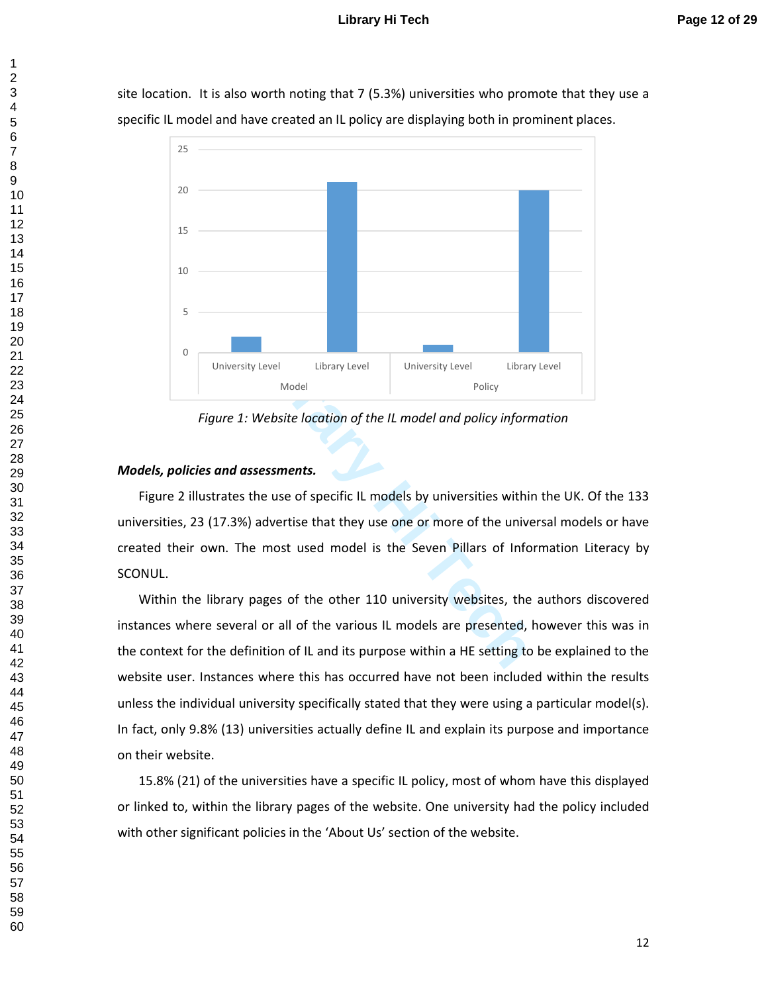### **Library Hi Tech Page 12 of 29**

site location. It is also worth noting that 7 (5.3%) universities who promote that they use a specific IL model and have created an IL policy are displaying both in prominent places.



*Figure 1: Website location of the IL model and policy information* 

# *Models, policies and assessments.*

Figure 2 illustrates the use of specific IL models by universities within the UK. Of the 133 universities, 23 (17.3%) advertise that they use one or more of the universal models or have created their own. The most used model is the Seven Pillars of Information Literacy by SCONUL.

Within the library pages of the other 110 university websites, the authors discovered instances where several or all of the various IL models are presented, however this was in the context for the definition of IL and its purpose within a HE setting to be explained to the website user. Instances where this has occurred have not been included within the results unless the individual university specifically stated that they were using a particular model(s). In fact, only 9.8% (13) universities actually define IL and explain its purpose and importance on their website.

15.8% (21) of the universities have a specific IL policy, most of whom have this displayed or linked to, within the library pages of the website. One university had the policy included with other significant policies in the 'About Us' section of the website.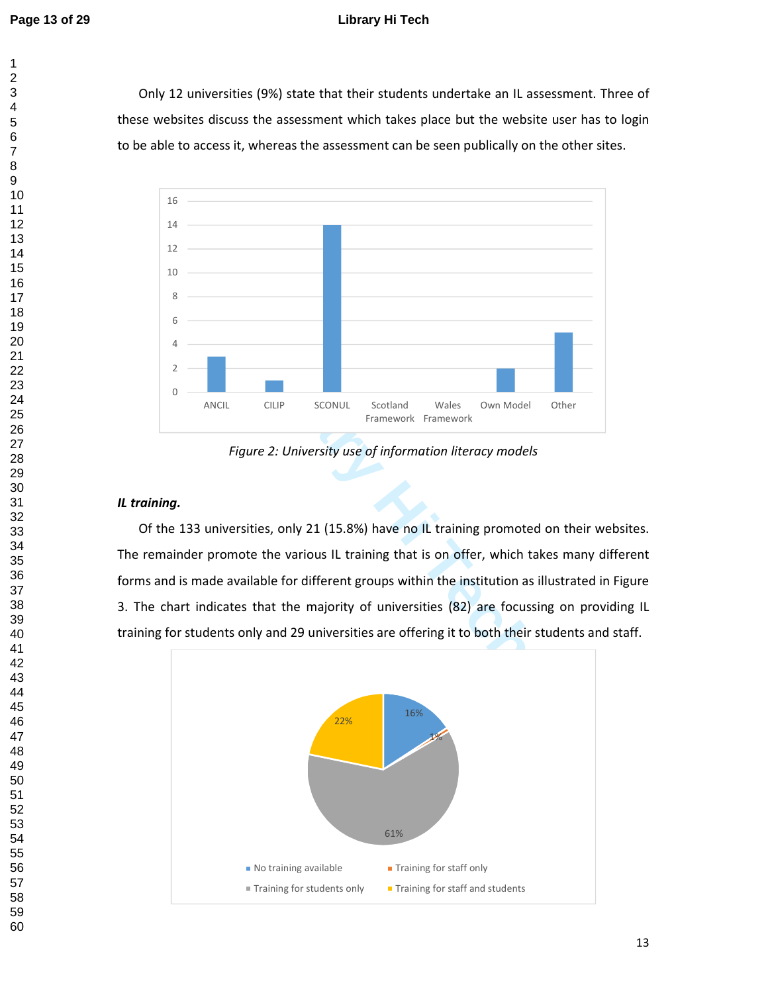$\mathbf{1}$  $\overline{2}$ 

# **Page 13 of 29 Library Hi Tech**

Only 12 universities (9%) state that their students undertake an IL assessment. Three of these websites discuss the assessment which takes place but the website user has to login to be able to access it, whereas the assessment can be seen publically on the other sites.



*Figure 2: University use of information literacy models* 

# *IL training.*

Of the 133 universities, only 21 (15.8%) have no IL training promoted on their websites. The remainder promote the various IL training that is on offer, which takes many different forms and is made available for different groups within the institution as illustrated in Figure 3. The chart indicates that the majority of universities (82) are focussing on providing IL

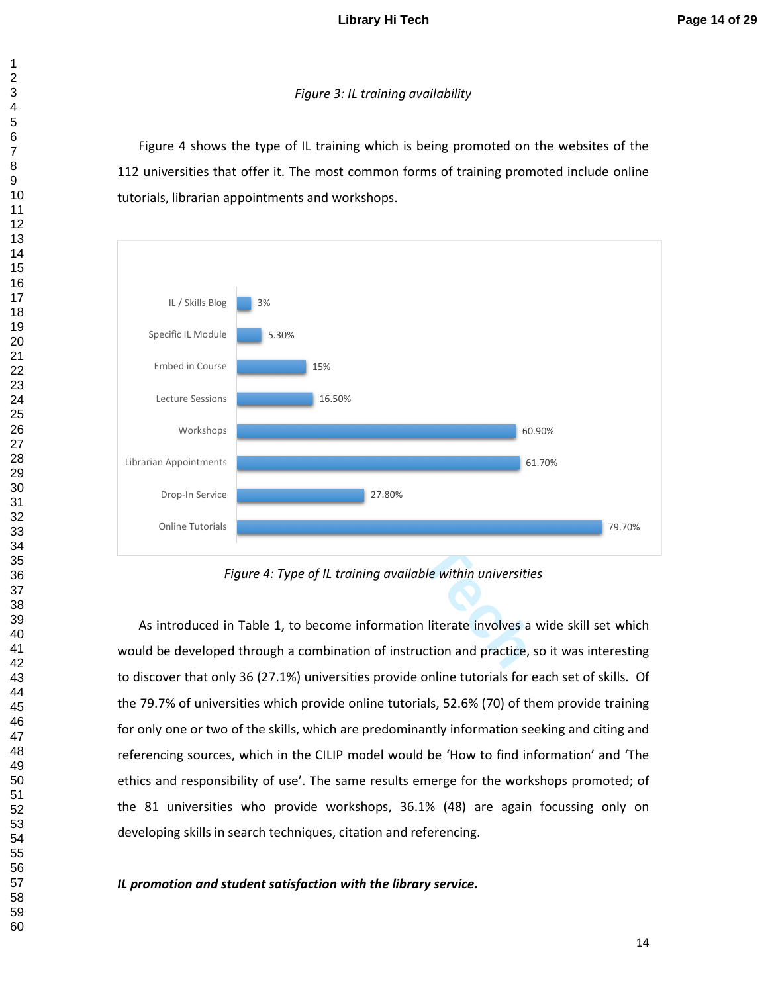# *Figure 3: IL training availability*

Figure 4 shows the type of IL training which is being promoted on the websites of the 112 universities that offer it. The most common forms of training promoted include online tutorials, librarian appointments and workshops.



*Figure 4: Type of IL training available within universities* 

As introduced in Table 1, to become information literate involves a wide skill set which would be developed through a combination of instruction and practice, so it was interesting to discover that only 36 (27.1%) universities provide online tutorials for each set of skills. Of the 79.7% of universities which provide online tutorials, 52.6% (70) of them provide training for only one or two of the skills, which are predominantly information seeking and citing and referencing sources, which in the CILIP model would be 'How to find information' and 'The ethics and responsibility of use'. The same results emerge for the workshops promoted; of the 81 universities who provide workshops, 36.1% (48) are again focussing only on developing skills in search techniques, citation and referencing.

*IL promotion and student satisfaction with the library service.*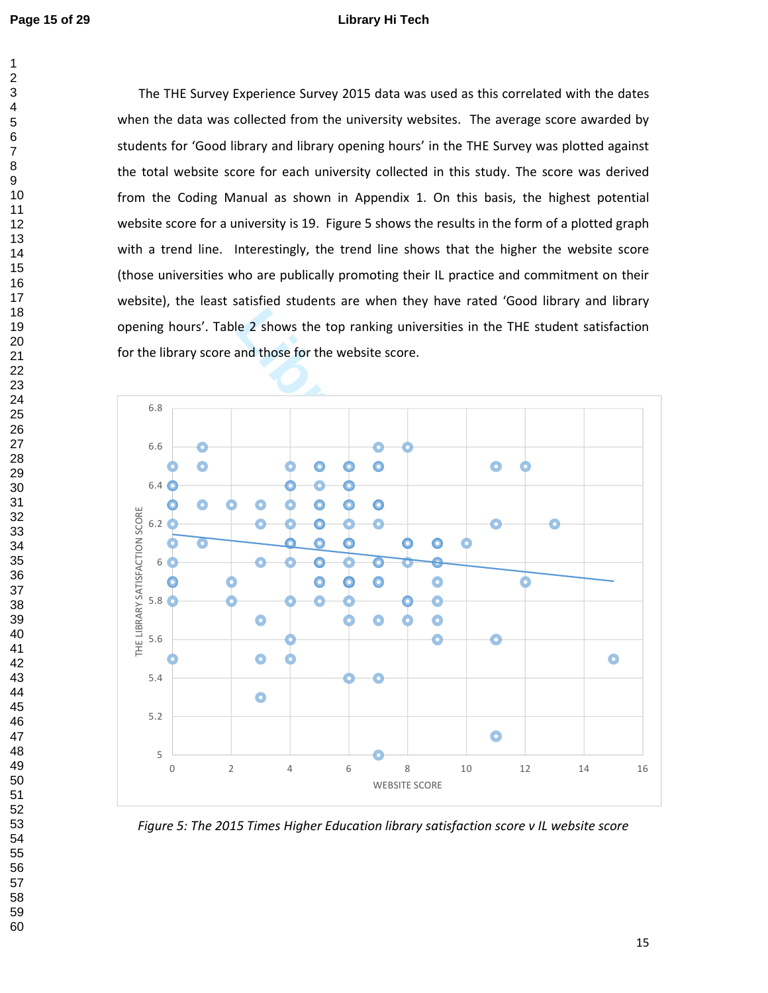### **Page 15 of 29 Library Hi Tech**

 $\mathbf{1}$  $\overline{2}$ 

> The THE Survey Experience Survey 2015 data was used as this correlated with the dates when the data was collected from the university websites. The average score awarded by students for 'Good library and library opening hours' in the THE Survey was plotted against the total website score for each university collected in this study. The score was derived from the Coding Manual as shown in Appendix 1. On this basis, the highest potential website score for a university is 19. Figure 5 shows the results in the form of a plotted graph with a trend line. Interestingly, the trend line shows that the higher the website score (those universities who are publically promoting their IL practice and commitment on their website), the least satisfied students are when they have rated 'Good library and library opening hours'. Table 2 shows the top ranking universities in the THE student satisfaction for the library score and those for the website score.

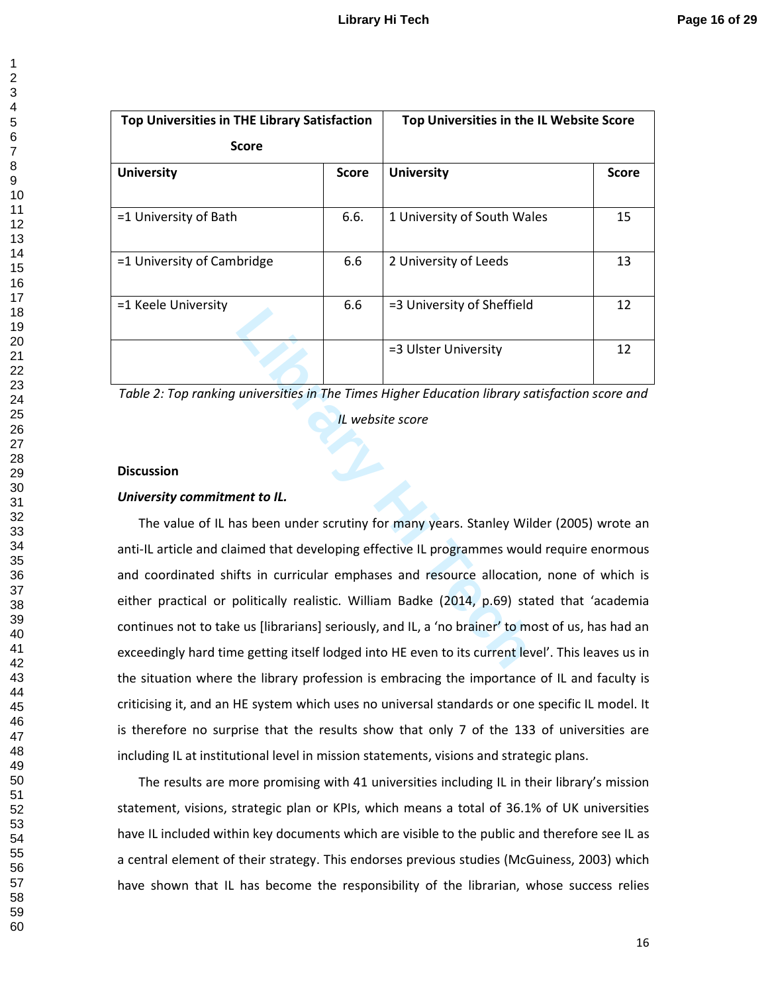| $\overline{ }$                   |
|----------------------------------|
|                                  |
|                                  |
|                                  |
|                                  |
|                                  |
|                                  |
|                                  |
|                                  |
|                                  |
|                                  |
|                                  |
|                                  |
|                                  |
|                                  |
|                                  |
|                                  |
|                                  |
|                                  |
|                                  |
|                                  |
|                                  |
|                                  |
|                                  |
|                                  |
|                                  |
|                                  |
|                                  |
|                                  |
|                                  |
|                                  |
|                                  |
|                                  |
|                                  |
|                                  |
|                                  |
|                                  |
|                                  |
|                                  |
|                                  |
|                                  |
|                                  |
|                                  |
|                                  |
|                                  |
|                                  |
|                                  |
|                                  |
|                                  |
| 41                               |
| 42                               |
|                                  |
| $4\degree$                       |
| 44                               |
| 45                               |
| 46                               |
|                                  |
| $\overline{4}$                   |
| 48                               |
| 49                               |
|                                  |
|                                  |
|                                  |
|                                  |
| $-50$ 51 52 53 54 55 56 57 58 59 |
|                                  |
|                                  |
|                                  |
|                                  |
|                                  |
|                                  |
|                                  |
|                                  |

| <b>Top Universities in THE Library Satisfaction</b> |              | Top Universities in the IL Website Score |              |
|-----------------------------------------------------|--------------|------------------------------------------|--------------|
| <b>Score</b>                                        |              |                                          |              |
| <b>University</b>                                   | <b>Score</b> | <b>University</b>                        | <b>Score</b> |
|                                                     |              |                                          |              |
| =1 University of Bath                               | 6.6.         | 1 University of South Wales              | 15           |
|                                                     |              |                                          |              |
| =1 University of Cambridge                          | 6.6          | 2 University of Leeds                    | 13           |
|                                                     |              |                                          |              |
| =1 Keele University                                 | 6.6          | =3 University of Sheffield               | 12           |
|                                                     |              |                                          |              |
|                                                     |              | =3 Ulster University                     | 12           |
|                                                     |              |                                          |              |

*Table 2: Top ranking universities in The Times Higher Education library satisfaction score and* 

*IL website score* 

# **Discussion**

## *University commitment to IL.*

**Library of Schemelar Schemelar Schemelar Schemelar Schemelar Schemelar Schemelar Schemelar Schemelar Schemelar Schemelar Schemelar Schemelar Schemelar Schemelar Schemelar Schemelar Schemelar Schemelar Schemelar Schemelar** The value of IL has been under scrutiny for many years. Stanley Wilder (2005) wrote an anti-IL article and claimed that developing effective IL programmes would require enormous and coordinated shifts in curricular emphases and resource allocation, none of which is either practical or politically realistic. William Badke (2014, p.69) stated that 'academia continues not to take us [librarians] seriously, and IL, a 'no brainer' to most of us, has had an exceedingly hard time getting itself lodged into HE even to its current level'. This leaves us in the situation where the library profession is embracing the importance of IL and faculty is criticising it, and an HE system which uses no universal standards or one specific IL model. It is therefore no surprise that the results show that only 7 of the 133 of universities are including IL at institutional level in mission statements, visions and strategic plans.

The results are more promising with 41 universities including IL in their library's mission statement, visions, strategic plan or KPIs, which means a total of 36.1% of UK universities have IL included within key documents which are visible to the public and therefore see IL as a central element of their strategy. This endorses previous studies (McGuiness, 2003) which have shown that IL has become the responsibility of the librarian, whose success relies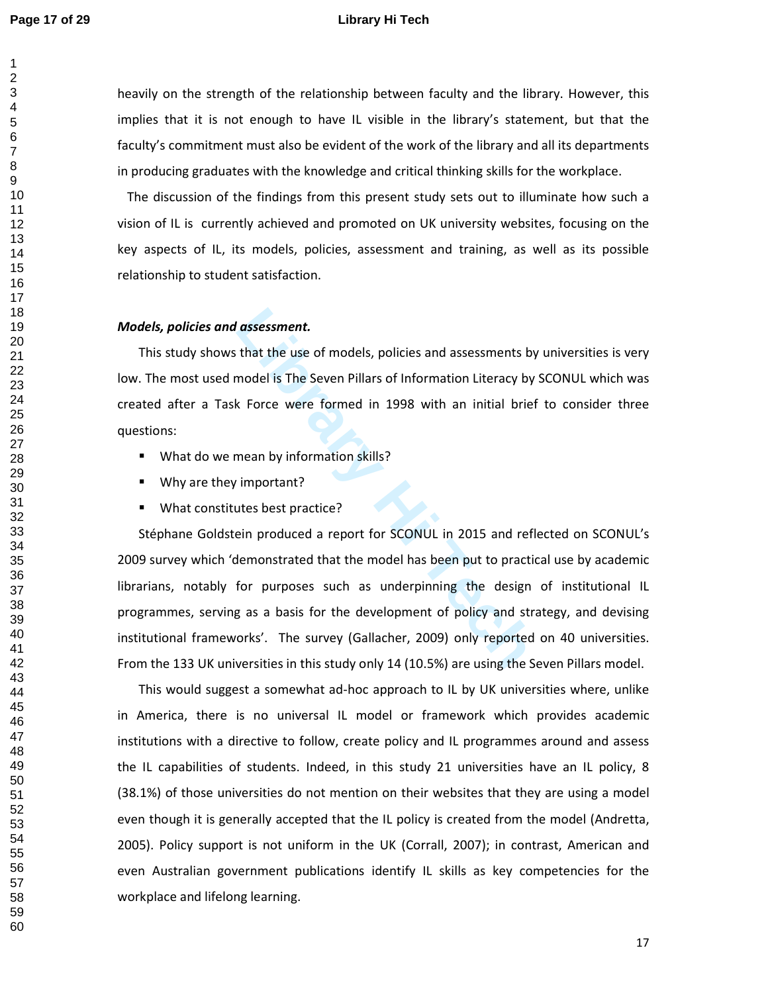### **Page 17 of 29 Library Hi Tech**

 $\mathbf{1}$  $\overline{2}$ 

heavily on the strength of the relationship between faculty and the library. However, this implies that it is not enough to have IL visible in the library's statement, but that the faculty's commitment must also be evident of the work of the library and all its departments in producing graduates with the knowledge and critical thinking skills for the workplace.

 The discussion of the findings from this present study sets out to illuminate how such a vision of IL is currently achieved and promoted on UK university websites, focusing on the key aspects of IL, its models, policies, assessment and training, as well as its possible relationship to student satisfaction.

### *Models, policies and assessment.*

This study shows that the use of models, policies and assessments by universities is very low. The most used model is The Seven Pillars of Information Literacy by SCONUL which was created after a Task Force were formed in 1998 with an initial brief to consider three questions:

- **What do we mean by information skills?**
- Why are they important?
- What constitutes best practice?

**Last United Symbol is The Seven Pillars of Information Literacy by**<br> **Last Symbol is The Seven Pillars of Information Literacy by**<br> **Let Symbol is The Seven Pillars of Information Literacy by**<br> **Let Symbol is Proper Symbo** Stéphane Goldstein produced a report for SCONUL in 2015 and reflected on SCONUL's 2009 survey which 'demonstrated that the model has been put to practical use by academic librarians, notably for purposes such as underpinning the design of institutional IL programmes, serving as a basis for the development of policy and strategy, and devising institutional frameworks'. The survey (Gallacher, 2009) only reported on 40 universities. From the 133 UK universities in this study only 14 (10.5%) are using the Seven Pillars model.

This would suggest a somewhat ad-hoc approach to IL by UK universities where, unlike in America, there is no universal IL model or framework which provides academic institutions with a directive to follow, create policy and IL programmes around and assess the IL capabilities of students. Indeed, in this study 21 universities have an IL policy, 8 (38.1%) of those universities do not mention on their websites that they are using a model even though it is generally accepted that the IL policy is created from the model (Andretta, 2005). Policy support is not uniform in the UK (Corrall, 2007); in contrast, American and even Australian government publications identify IL skills as key competencies for the workplace and lifelong learning.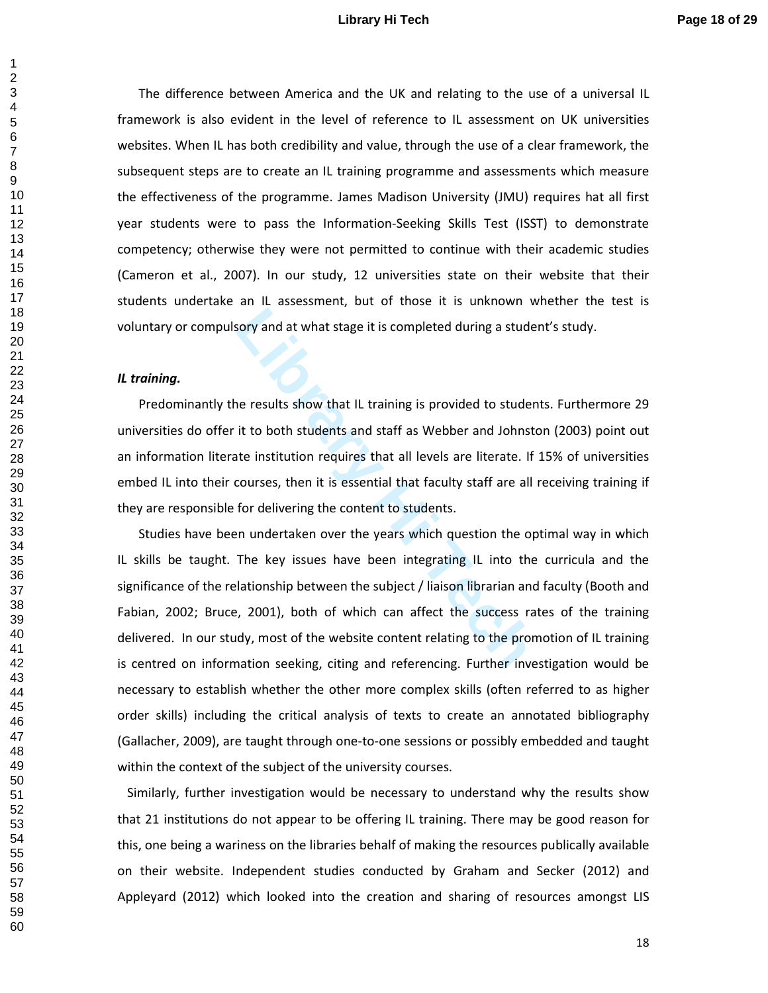## **Library Hi Tech Page 18 of 29**

The difference between America and the UK and relating to the use of a universal IL framework is also evident in the level of reference to IL assessment on UK universities websites. When IL has both credibility and value, through the use of a clear framework, the subsequent steps are to create an IL training programme and assessments which measure the effectiveness of the programme. James Madison University (JMU) requires hat all first year students were to pass the Information-Seeking Skills Test (ISST) to demonstrate competency; otherwise they were not permitted to continue with their academic studies (Cameron et al., 2007). In our study, 12 universities state on their website that their students undertake an IL assessment, but of those it is unknown whether the test is voluntary or compulsory and at what stage it is completed during a student's study.

# *IL training.*

Predominantly the results show that IL training is provided to students. Furthermore 29 universities do offer it to both students and staff as Webber and Johnston (2003) point out an information literate institution requires that all levels are literate. If 15% of universities embed IL into their courses, then it is essential that faculty staff are all receiving training if they are responsible for delivering the content to students.

**Latter Solution Solution** at what stage it is completed during a stude<br>
Level Techalis show that IL training is provided to studen<br>
it to both students and staff as Webber and Johnst<br>
Level Techalis and staff as Webber an Studies have been undertaken over the years which question the optimal way in which IL skills be taught. The key issues have been integrating IL into the curricula and the significance of the relationship between the subject / liaison librarian and faculty (Booth and Fabian, 2002; Bruce, 2001), both of which can affect the success rates of the training delivered. In our study, most of the website content relating to the promotion of IL training is centred on information seeking, citing and referencing. Further investigation would be necessary to establish whether the other more complex skills (often referred to as higher order skills) including the critical analysis of texts to create an annotated bibliography (Gallacher, 2009), are taught through one-to-one sessions or possibly embedded and taught within the context of the subject of the university courses.

 Similarly, further investigation would be necessary to understand why the results show that 21 institutions do not appear to be offering IL training. There may be good reason for this, one being a wariness on the libraries behalf of making the resources publically available on their website. Independent studies conducted by Graham and Secker (2012) and Appleyard (2012) which looked into the creation and sharing of resources amongst LIS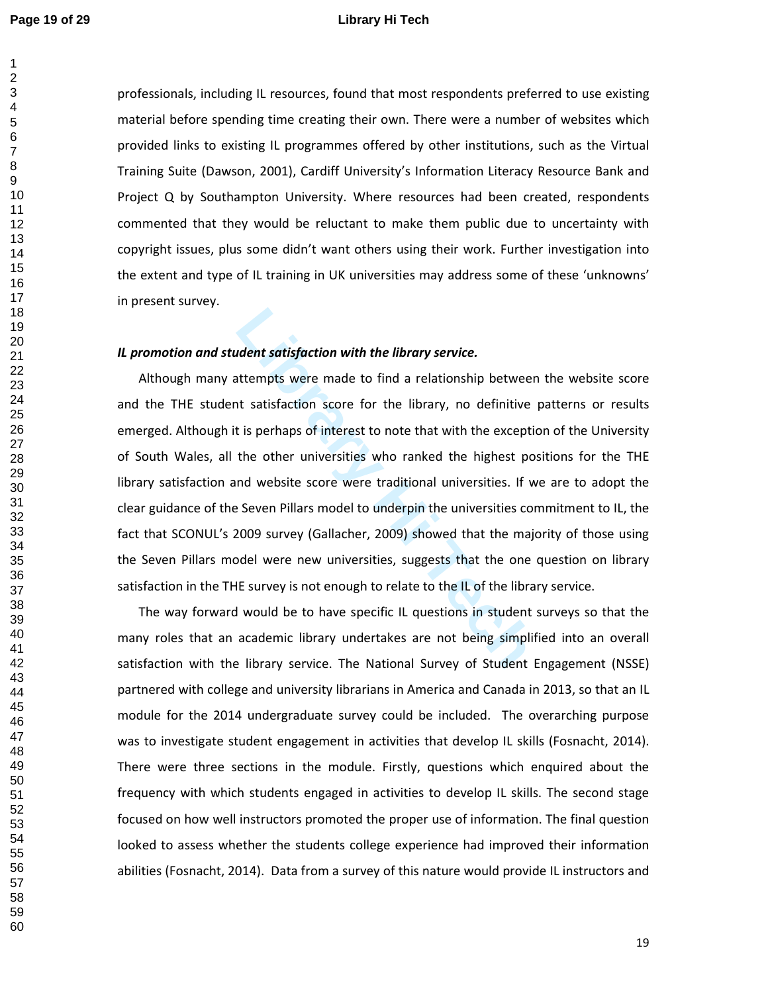$\mathbf{1}$ 

### **Page 19 of 29 Library Hi Tech**

professionals, including IL resources, found that most respondents preferred to use existing material before spending time creating their own. There were a number of websites which provided links to existing IL programmes offered by other institutions, such as the Virtual Training Suite (Dawson, 2001), Cardiff University's Information Literacy Resource Bank and Project Q by Southampton University. Where resources had been created, respondents commented that they would be reluctant to make them public due to uncertainty with copyright issues, plus some didn't want others using their work. Further investigation into the extent and type of IL training in UK universities may address some of these 'unknowns' in present survey.

# *IL promotion and student satisfaction with the library service.*

**Label Statisfaction with the library service.**<br>
Lettempts were made to find a relationship betweer<br>
Lettempts were made to find a relationship betweer<br>
Let is perhaps of interest to note that with the exceptic<br>
the other Although many attempts were made to find a relationship between the website score and the THE student satisfaction score for the library, no definitive patterns or results emerged. Although it is perhaps of interest to note that with the exception of the University of South Wales, all the other universities who ranked the highest positions for the THE library satisfaction and website score were traditional universities. If we are to adopt the clear guidance of the Seven Pillars model to underpin the universities commitment to IL, the fact that SCONUL's 2009 survey (Gallacher, 2009) showed that the majority of those using the Seven Pillars model were new universities, suggests that the one question on library satisfaction in the THE survey is not enough to relate to the IL of the library service.

The way forward would be to have specific IL questions in student surveys so that the many roles that an academic library undertakes are not being simplified into an overall satisfaction with the library service. The National Survey of Student Engagement (NSSE) partnered with college and university librarians in America and Canada in 2013, so that an IL module for the 2014 undergraduate survey could be included. The overarching purpose was to investigate student engagement in activities that develop IL skills (Fosnacht, 2014). There were three sections in the module. Firstly, questions which enquired about the frequency with which students engaged in activities to develop IL skills. The second stage focused on how well instructors promoted the proper use of information. The final question looked to assess whether the students college experience had improved their information abilities (Fosnacht, 2014). Data from a survey of this nature would provide IL instructors and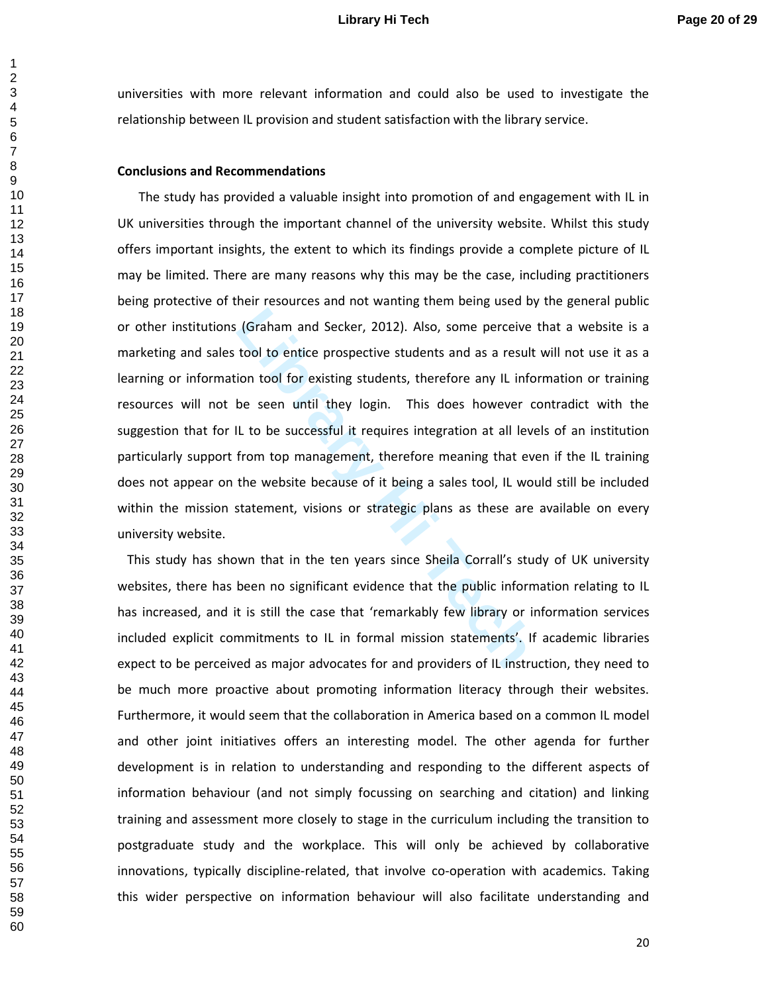universities with more relevant information and could also be used to investigate the relationship between IL provision and student satisfaction with the library service.

### **Conclusions and Recommendations**

(Graham and Secker, 2012). Also, some perceive<br>tool to entice prospective students and as a result<br>ion tool for existing students, therefore any IL info<br>be seen until they login. This does however c<br>IL to be successful it The study has provided a valuable insight into promotion of and engagement with IL in UK universities through the important channel of the university website. Whilst this study offers important insights, the extent to which its findings provide a complete picture of IL may be limited. There are many reasons why this may be the case, including practitioners being protective of their resources and not wanting them being used by the general public or other institutions (Graham and Secker, 2012). Also, some perceive that a website is a marketing and sales tool to entice prospective students and as a result will not use it as a learning or information tool for existing students, therefore any IL information or training resources will not be seen until they login. This does however contradict with the suggestion that for IL to be successful it requires integration at all levels of an institution particularly support from top management, therefore meaning that even if the IL training does not appear on the website because of it being a sales tool, IL would still be included within the mission statement, visions or strategic plans as these are available on every university website.

 This study has shown that in the ten years since Sheila Corrall's study of UK university websites, there has been no significant evidence that the public information relating to IL has increased, and it is still the case that 'remarkably few library or information services included explicit commitments to IL in formal mission statements'. If academic libraries expect to be perceived as major advocates for and providers of IL instruction, they need to be much more proactive about promoting information literacy through their websites. Furthermore, it would seem that the collaboration in America based on a common IL model and other joint initiatives offers an interesting model. The other agenda for further development is in relation to understanding and responding to the different aspects of information behaviour (and not simply focussing on searching and citation) and linking training and assessment more closely to stage in the curriculum including the transition to postgraduate study and the workplace. This will only be achieved by collaborative innovations, typically discipline-related, that involve co-operation with academics. Taking this wider perspective on information behaviour will also facilitate understanding and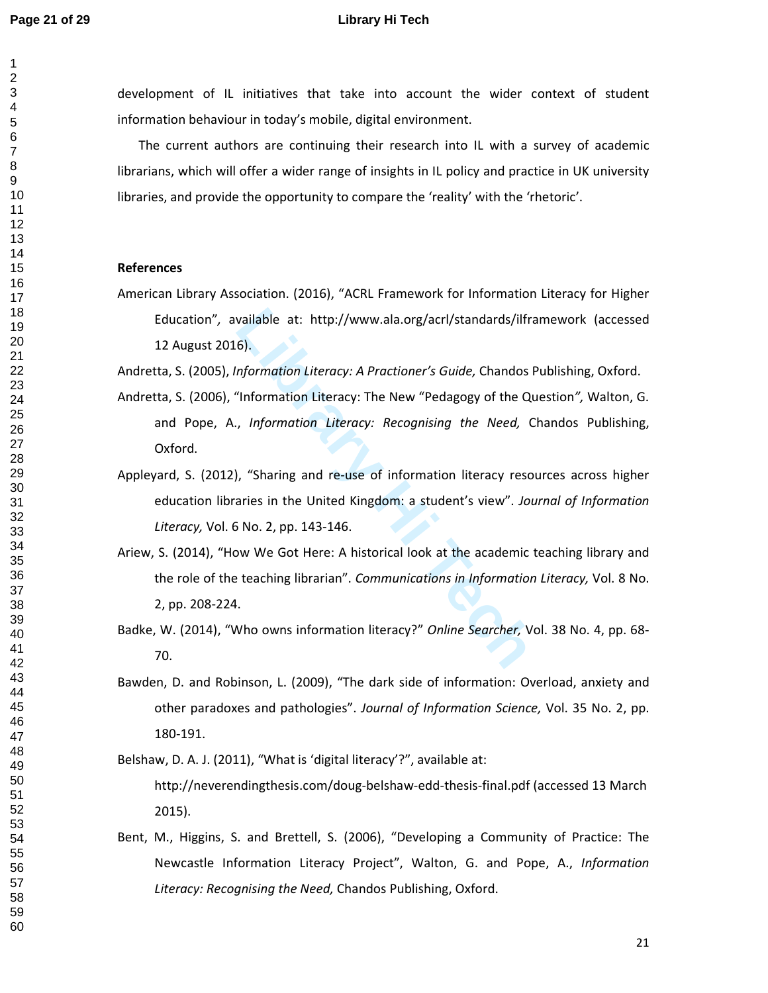$\mathbf{1}$  $\overline{2}$ 

### **Page 21 of 29 Library Hi Tech**

development of IL initiatives that take into account the wider context of student information behaviour in today's mobile, digital environment.

The current authors are continuing their research into IL with a survey of academic librarians, which will offer a wider range of insights in IL policy and practice in UK university libraries, and provide the opportunity to compare the 'reality' with the 'rhetoric'.

### **References**

American Library Association. (2016), "ACRL Framework for Information Literacy for Higher Education"*,* available at: http://www.ala.org/acrl/standards/ilframework (accessed 12 August 2016).

Andretta, S. (2005), *Information Literacy: A Practioner's Guide,* Chandos Publishing, Oxford.

- Andretta, S. (2006), "Information Literacy: The New "Pedagogy of the Question*",* Walton, G. and Pope, A., *Information Literacy: Recognising the Need,* Chandos Publishing, Oxford.
- Appleyard, S. (2012), "Sharing and re-use of information literacy resources across higher education libraries in the United Kingdom: a student's view". *Journal of Information Literacy,* Vol. 6 No. 2, pp. 143-146.
- vailable at: http://www.ala.org/acrl/standards/ilfra<br>6).<br>formation Literacy: A Practioner's Guide, Chandos P<br>"Information Literacy: The New "Pedagogy of the Quentes"<br>formation Literacy: Recognising the Need, C<br>information Ariew, S. (2014), "How We Got Here: A historical look at the academic teaching library and the role of the teaching librarian". *Communications in Information Literacy,* Vol. 8 No. 2, pp. 208-224.
- Badke, W. (2014), "Who owns information literacy?" *Online Searcher,* Vol. 38 No. 4, pp. 68- 70.
- Bawden, D. and Robinson, L. (2009), "The dark side of information: Overload, anxiety and other paradoxes and pathologies". *Journal of Information Science,* Vol. 35 No. 2, pp. 180-191.

Belshaw, D. A. J. (2011), "What is 'digital literacy'?", available at:

http://neverendingthesis.com/doug-belshaw-edd-thesis-final.pdf (accessed 13 March 2015).

Bent, M., Higgins, S. and Brettell, S. (2006), "Developing a Community of Practice: The Newcastle Information Literacy Project", Walton, G. and Pope, A., *Information Literacy: Recognising the Need,* Chandos Publishing, Oxford.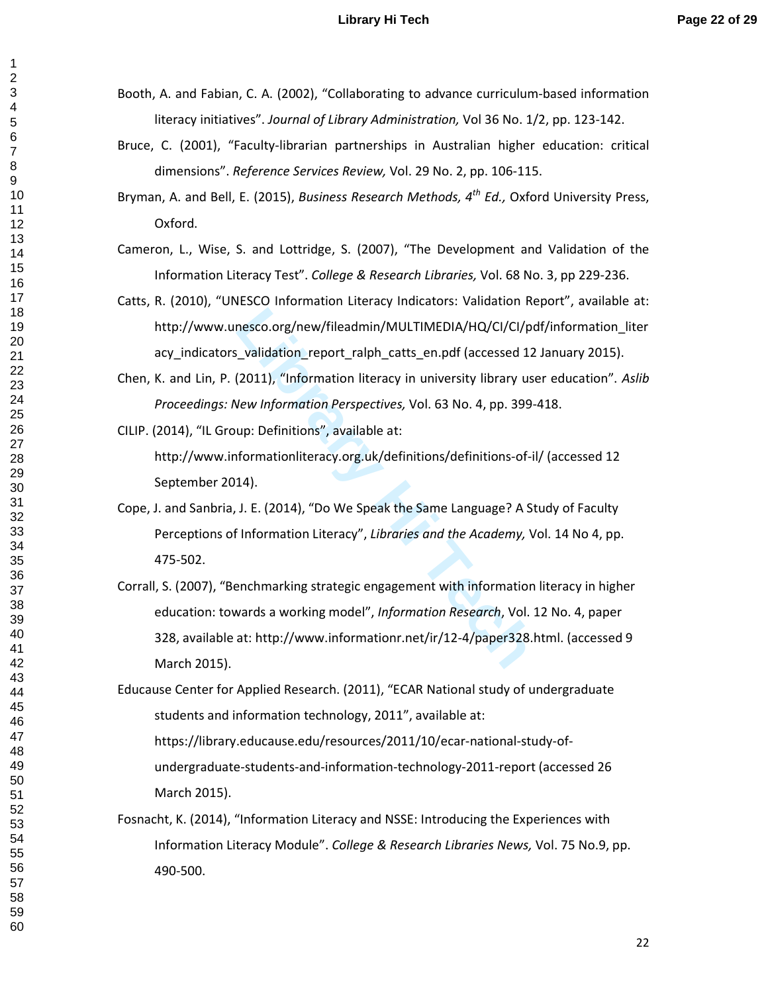- Booth, A. and Fabian, C. A. (2002), "Collaborating to advance curriculum-based information literacy initiatives". *Journal of Library Administration,* Vol 36 No. 1/2, pp. 123-142.
- Bruce, C. (2001), "Faculty-librarian partnerships in Australian higher education: critical dimensions". *Reference Services Review,* Vol. 29 No. 2, pp. 106-115.
- Bryman, A. and Bell, E. (2015), *Business Research Methods, 4th Ed.,* Oxford University Press, Oxford.
- Cameron, L., Wise, S. and Lottridge, S. (2007), "The Development and Validation of the Information Literacy Test". *College & Research Libraries,* Vol. 68 No. 3, pp 229-236.
- Catts, R. (2010), "UNESCO Information Literacy Indicators: Validation Report", available at: http://www.unesco.org/new/fileadmin/MULTIMEDIA/HQ/CI/CI/pdf/information\_liter acy indicators validation report ralph catts en.pdf (accessed 12 January 2015).
- Chen, K. and Lin, P. (2011), "Information literacy in university library user education". *Aslib Proceedings: New Information Perspectives,* Vol. 63 No. 4, pp. 399-418.
- CILIP. (2014), "IL Group: Definitions", available at: http://www.informationliteracy.org.uk/definitions/definitions-of-il/ (accessed 12
	- September 2014).
- Cope, J. and Sanbria, J. E. (2014), "Do We Speak the Same Language? A Study of Faculty Perceptions of Information Literacy", *Libraries and the Academy,* Vol. 14 No 4, pp. 475-502.
- nesco.org/new/fileadmin/MULTIMEDIA/HQ/CI/CI/pc<br>
Lyalidation\_report\_ralph\_catts\_en.pdf (accessed 12<br>
(2011), "Information literacy in university library use<br>
New Information Perspectives, Vol. 63 No. 4, pp. 399-<br>
up: Defini Corrall, S. (2007), "Benchmarking strategic engagement with information literacy in higher education: towards a working model", *Information Research*, Vol. 12 No. 4, paper 328, available at: http://www.informationr.net/ir/12-4/paper328.html. (accessed 9 March 2015).
- Educause Center for Applied Research. (2011), "ECAR National study of undergraduate students and information technology, 2011", available at: https://library.educause.edu/resources/2011/10/ecar-national-study-ofundergraduate-students-and-information-technology-2011-report (accessed 26 March 2015).
- Fosnacht, K. (2014), "Information Literacy and NSSE: Introducing the Experiences with Information Literacy Module". *College & Research Libraries News,* Vol. 75 No.9, pp. 490-500.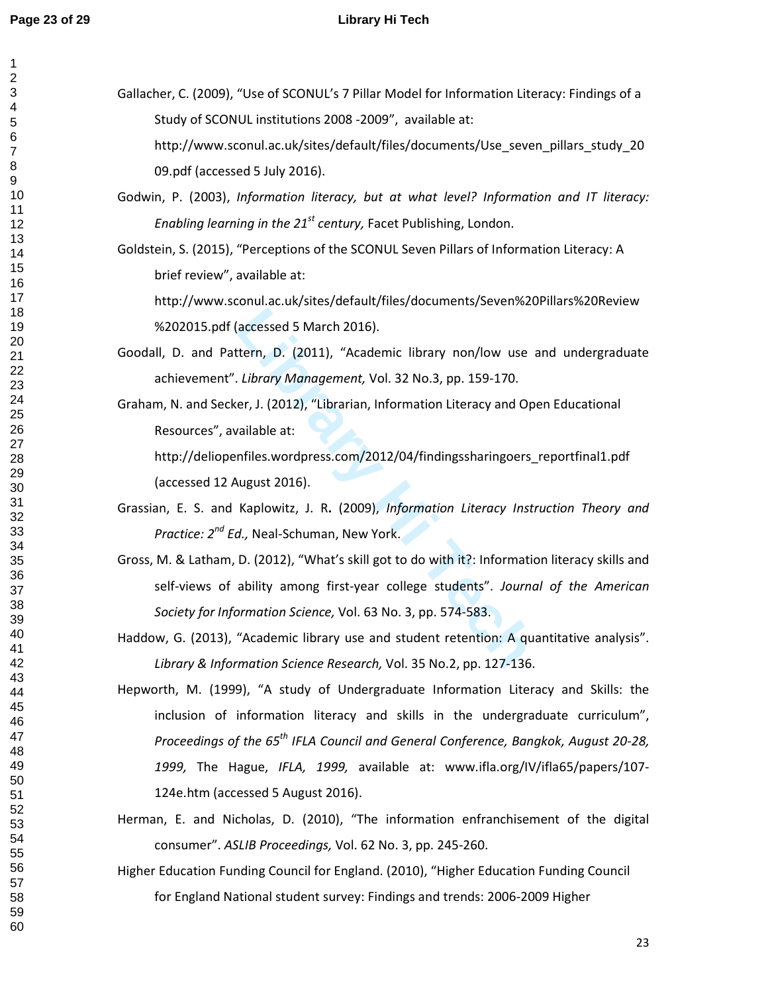123456789

 $\begin{bmatrix} 7 \\ 8 \end{bmatrix}$  $\overline{9}$ 

2<br>3<br>4<br>5<br>6<br>6

 $\mathbf{1}$ 

# **Page 23 of 29 Library Hi Tech**

| Gallacher, C. (2009), "Use of SCONUL's 7 Pillar Model for Information Literacy: Findings of a                              |
|----------------------------------------------------------------------------------------------------------------------------|
| Study of SCONUL institutions 2008 -2009", available at:                                                                    |
| http://www.sconul.ac.uk/sites/default/files/documents/Use_seven_pillars_study_20                                           |
|                                                                                                                            |
| 09.pdf (accessed 5 July 2016).<br>Godwin, P. (2003), Information literacy, but at what level? Information and IT literacy: |
|                                                                                                                            |
| Enabling learning in the 21 <sup>st</sup> century, Facet Publishing, London.                                               |
| Goldstein, S. (2015), "Perceptions of the SCONUL Seven Pillars of Information Literacy: A                                  |
| brief review", available at:                                                                                               |
| http://www.sconul.ac.uk/sites/default/files/documents/Seven%20Pillars%20Review                                             |
| %202015.pdf (accessed 5 March 2016).                                                                                       |
| Goodall, D. and Pattern, D. (2011), "Academic library non/low use and undergraduate                                        |
| achievement". Library Management, Vol. 32 No.3, pp. 159-170.                                                               |
| Graham, N. and Secker, J. (2012), "Librarian, Information Literacy and Open Educational                                    |
| Resources", available at:                                                                                                  |
| http://deliopenfiles.wordpress.com/2012/04/findingssharingoers_reportfinal1.pdf                                            |
| (accessed 12 August 2016).                                                                                                 |
| Grassian, E. S. and Kaplowitz, J. R. (2009), Information Literacy Instruction Theory and                                   |
| Practice: 2 <sup>nd</sup> Ed., Neal-Schuman, New York.                                                                     |
| Gross, M. & Latham, D. (2012), "What's skill got to do with it?: Information literacy skills and                           |
| self-views of ability among first-year college students". Journal of the American                                          |
| Society for Information Science, Vol. 63 No. 3, pp. 574-583.                                                               |
| Haddow, G. (2013), "Academic library use and student retention: A quantitative analysis".                                  |
| Library & Information Science Research, Vol. 35 No.2, pp. 127-136.                                                         |
| Hepworth, M. (1999), "A study of Undergraduate Information Literacy and Skills: the                                        |
| inclusion of information literacy and skills in the undergraduate curriculum",                                             |
| Proceedings of the 65 <sup>th</sup> IFLA Council and General Conference, Bangkok, August 20-28,                            |
| 1999, The Hague, IFLA, 1999, available at: www.ifla.org/IV/ifla65/papers/107-                                              |
| 124e.htm (accessed 5 August 2016).                                                                                         |
| Herman, E. and Nicholas, D. (2010), "The information enfranchisement of the digital                                        |
| consumer". ASLIB Proceedings, Vol. 62 No. 3, pp. 245-260.                                                                  |
| Higher Education Funding Council for England. (2010), "Higher Education Funding Council                                    |
| for England National student survey: Findings and trends: 2006-2009 Higher                                                 |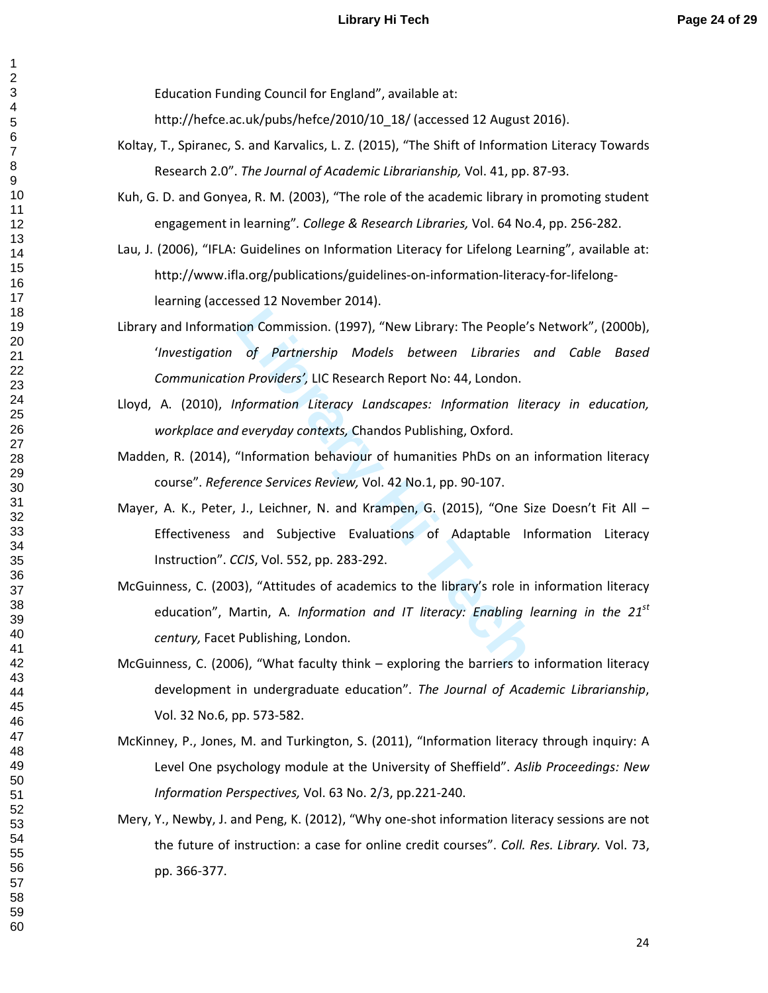Education Funding Council for England", available at:

http://hefce.ac.uk/pubs/hefce/2010/10\_18/ (accessed 12 August 2016).

- Koltay, T., Spiranec, S. and Karvalics, L. Z. (2015), "The Shift of Information Literacy Towards Research 2.0". *The Journal of Academic Librarianship,* Vol. 41, pp. 87-93.
- Kuh, G. D. and Gonyea, R. M. (2003), "The role of the academic library in promoting student engagement in learning"*. College & Research Libraries,* Vol. 64 No.4, pp. 256-282.
- Lau, J. (2006), "IFLA: Guidelines on Information Literacy for Lifelong Learning", available at: http://www.ifla.org/publications/guidelines-on-information-literacy-for-lifelonglearning (accessed 12 November 2014).
- ion Commission. (1997), "New Library: The People's<br>
of Partnership Models between Libraries c<br>
n Providers', LIC Research Report No: 44, London.<br> *Liferacy Landscapes: Information lite.*<br> *Liferacy Landscapes: Information* Library and Information Commission. (1997), "New Library: The People's Network", (2000b), '*Investigation of Partnership Models between Libraries and Cable Based Communication Providers',* LIC Research Report No: 44, London.
- Lloyd, A. (2010), *Information Literacy Landscapes: Information literacy in education, workplace and everyday contexts,* Chandos Publishing, Oxford.
- Madden, R. (2014), "Information behaviour of humanities PhDs on an information literacy course". *Reference Services Review,* Vol. 42 No.1, pp. 90-107.
- Mayer, A. K., Peter, J., Leichner, N. and Krampen, G. (2015), "One Size Doesn't Fit All Effectiveness and Subjective Evaluations of Adaptable Information Literacy Instruction". *CCIS*, Vol. 552, pp. 283-292.
- McGuinness, C. (2003), "Attitudes of academics to the library's role in information literacy education", Martin, A. *Information and IT literacy: Enabling learning in the 21st century,* Facet Publishing, London.
- McGuinness, C. (2006), "What faculty think exploring the barriers to information literacy development in undergraduate education". *The Journal of Academic Librarianship*, Vol. 32 No.6, pp. 573-582.
- McKinney, P., Jones, M. and Turkington, S. (2011), "Information literacy through inquiry: A Level One psychology module at the University of Sheffield". *Aslib Proceedings: New Information Perspectives,* Vol. 63 No. 2/3, pp.221-240.
- Mery, Y., Newby, J. and Peng, K. (2012), "Why one-shot information literacy sessions are not the future of instruction: a case for online credit courses". *Coll. Res. Library.* Vol. 73, pp. 366-377.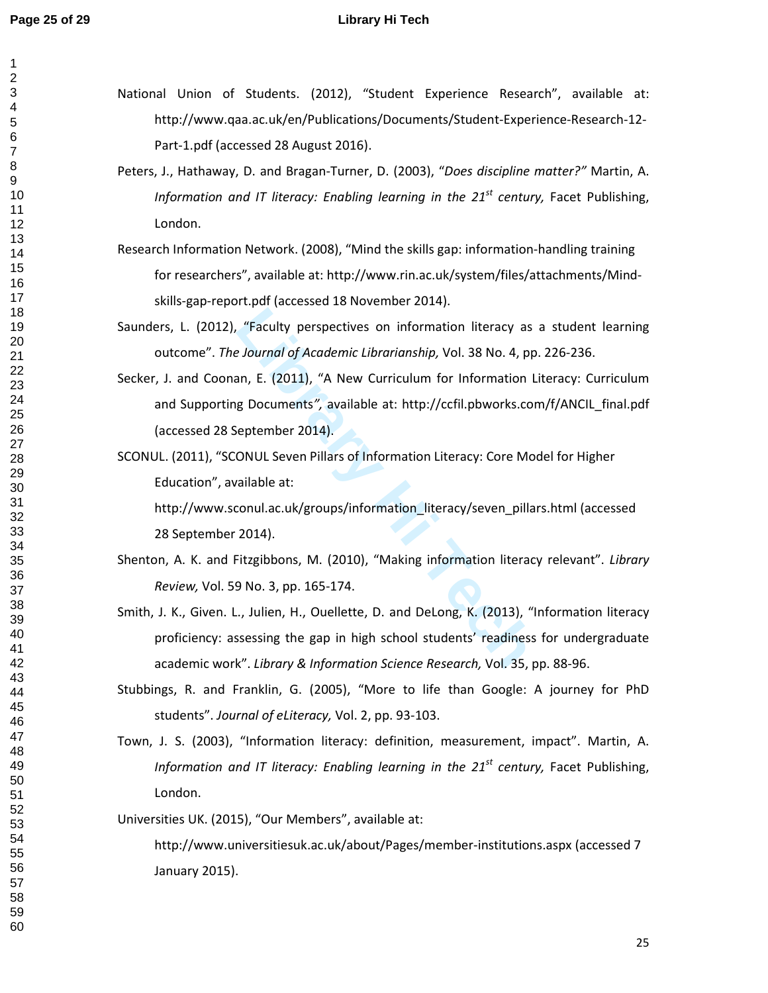$\mathbf 1$ 

## **Page 25 of 29 Library Hi Tech**

National Union of Students. (2012), "Student Experience Research", available at: http://www.qaa.ac.uk/en/Publications/Documents/Student-Experience-Research-12- Part-1.pdf (accessed 28 August 2016).

- Peters, J., Hathaway, D. and Bragan-Turner, D. (2003), "*Does discipline matter?"* Martin, A. *Information and IT literacy: Enabling learning in the 21st century,* Facet Publishing, London.
- Research Information Network. (2008), "Mind the skills gap: information-handling training for researchers", available at: http://www.rin.ac.uk/system/files/attachments/Mindskills-gap-report.pdf (accessed 18 November 2014).

Saunders, L. (2012), "Faculty perspectives on information literacy as a student learning outcome". *The Journal of Academic Librarianship,* Vol. 38 No. 4, pp. 226-236.

- "Faculty perspectives on information literacy as<br> *Lournal of Academic Librarianship, Vol.* 38 No. 4, pp<br>
an, E. (2011), "A New Curriculum for Information L<br> *g* Documents", available at: http://ccfil.pbworks.cor<br>
eptember Secker, J. and Coonan, E. (2011), "A New Curriculum for Information Literacy: Curriculum and Supporting Documents*",* available at: http://ccfil.pbworks.com/f/ANCIL\_final.pdf (accessed 28 September 2014).
- SCONUL. (2011), "SCONUL Seven Pillars of Information Literacy: Core Model for Higher Education", available at:

http://www.sconul.ac.uk/groups/information\_literacy/seven\_pillars.html (accessed 28 September 2014).

- Shenton, A. K. and Fitzgibbons, M. (2010), "Making information literacy relevant". *Library Review,* Vol. 59 No. 3, pp. 165-174.
- Smith, J. K., Given. L., Julien, H., Ouellette, D. and DeLong, K. (2013), "Information literacy proficiency: assessing the gap in high school students' readiness for undergraduate academic work". *Library & Information Science Research,* Vol. 35, pp. 88-96.
- Stubbings, R. and Franklin, G. (2005), "More to life than Google: A journey for PhD students". *Journal of eLiteracy,* Vol. 2, pp. 93-103.
- Town, J. S. (2003), "Information literacy: definition, measurement, impact". Martin, A. *Information and IT literacy: Enabling learning in the 21st century,* Facet Publishing, London.

Universities UK. (2015), "Our Members", available at:

http://www.universitiesuk.ac.uk/about/Pages/member-institutions.aspx (accessed 7 January 2015).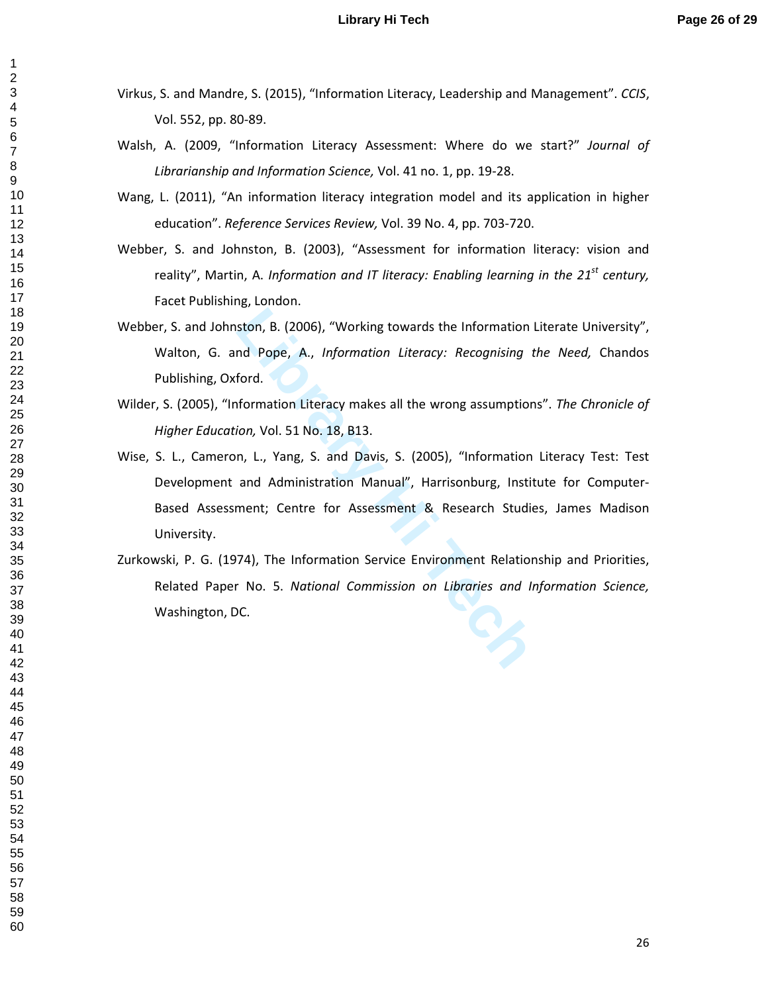- Virkus, S. and Mandre, S. (2015), "Information Literacy, Leadership and Management". *CCIS*, Vol. 552, pp. 80-89.
- Walsh, A. (2009, "Information Literacy Assessment: Where do we start?" *Journal of Librarianship and Information Science,* Vol. 41 no. 1, pp. 19-28.
- Wang, L. (2011), "An information literacy integration model and its application in higher education". *Reference Services Review,* Vol. 39 No. 4, pp. 703-720.
- Webber, S. and Johnston, B. (2003), "Assessment for information literacy: vision and reality", Martin, A. *Information and IT literacy: Enabling learning in the 21st century,* Facet Publishing, London.
- Webber, S. and Johnston, B. (2006), "Working towards the Information Literate University", Walton, G. and Pope, A., *Information Literacy: Recognising the Need,* Chandos Publishing, Oxford.
- Wilder, S. (2005), "Information Literacy makes all the wrong assumptions". *The Chronicle of Higher Education,* Vol. 51 No. 18, B13.
- Example 1, 2006), "Working towards the Information L<br>Ind Pope, A., *Information Literacy: Recognising that*<br>ford.<br>formation Literacy makes all the wrong assumption<br>ion, Vol. 51 No. 18, B13.<br>n, L., Yang, S. and Davis, S. (2 Wise, S. L., Cameron, L., Yang, S. and Davis, S. (2005), "Information Literacy Test: Test Development and Administration Manual", Harrisonburg, Institute for Computer-Based Assessment; Centre for Assessment & Research Studies, James Madison University.
- Zurkowski, P. G. (1974), The Information Service Environment Relationship and Priorities, Related Paper No. 5. *National Commission on Libraries and Information Science,*  Washington, DC.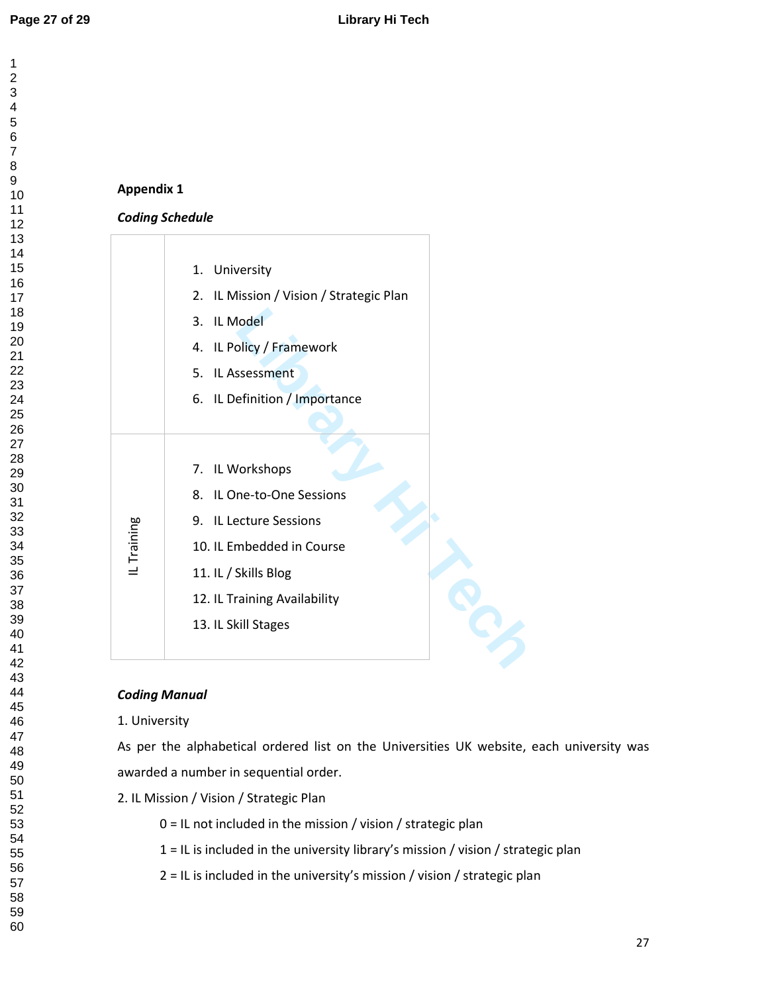$\mathbf{1}$  $\overline{2}$  $\overline{\mathbf{4}}$  $\overline{7}$ 

# **Appendix 1**

## *Coding Schedule*

|            | 1. University                              |
|------------|--------------------------------------------|
|            | IL Mission / Vision / Strategic Plan<br>2. |
|            | 3. IL Model                                |
|            | 4. IL Policy / Framework                   |
|            | 5. IL Assessment                           |
|            | 6. IL Definition / Importance              |
|            |                                            |
|            |                                            |
| L Training | 7. IL Workshops                            |
|            | 8. IL One-to-One Sessions                  |
|            | 9. IL Lecture Sessions                     |
|            | 10. IL Embedded in Course                  |
|            | 11. IL / Skills Blog                       |
|            | 12. IL Training Availability               |
|            | 13. IL Skill Stages                        |
|            |                                            |
|            |                                            |

# *Coding Manual*

# 1. University

As per the alphabetical ordered list on the Universities UK website, each university was awarded a number in sequential order.

- 2. IL Mission / Vision / Strategic Plan
	- 0 = IL not included in the mission / vision / strategic plan
	- 1 = IL is included in the university library's mission / vision / strategic plan
	- 2 = IL is included in the university's mission / vision / strategic plan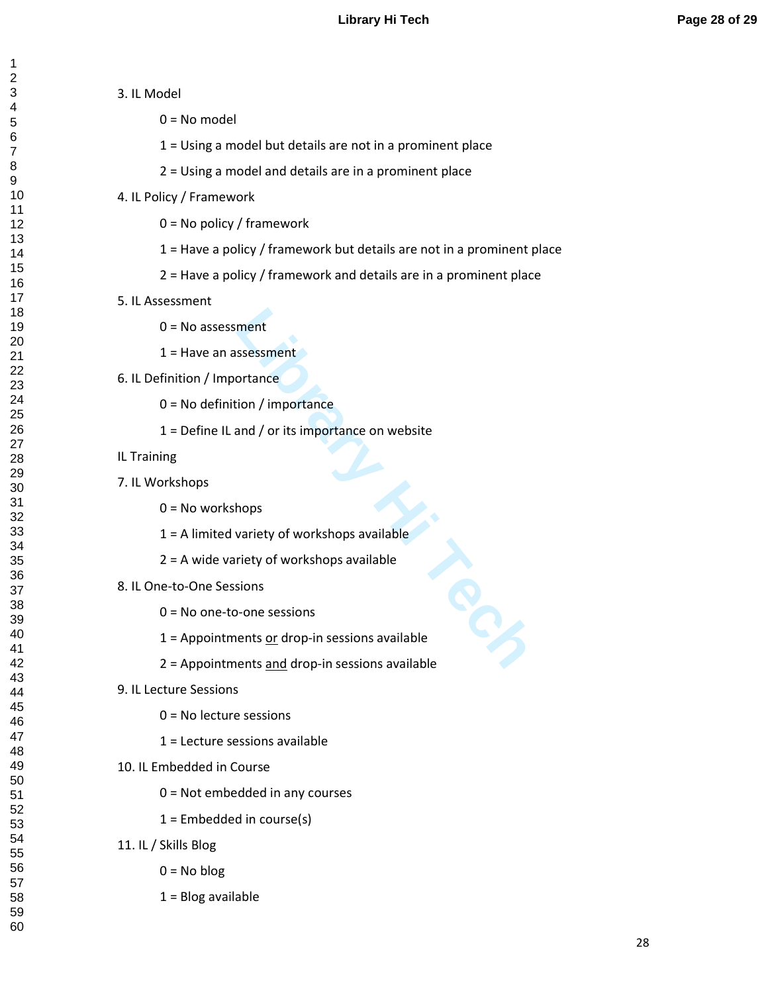1 = Using a model but details are not in a prominent place

1 = Have a policy / framework but details are not in a prominent place

2 = Have a policy / framework and details are in a prominent place

2 = Using a model and details are in a prominent place

ment<br>
ssessment<br>
ortance<br>
and / or its importance<br>
and / or its importance on website<br>
hops<br>
wariety of workshops available<br>
riety of workshops available<br>
sions<br>
-one sessions<br>
ents <u>or</u> drop-in sessions available<br>
ents an

3. IL Model

 $0 = No$  model

4. IL Policy / Framework

5. IL Assessment

IL Training

7. IL Workshops

0 = No policy / framework

 $0 = No$  assessment

6. IL Definition / Importance

 $0 = No$  workshops

0 = No one-to-one sessions

0 = No lecture sessions

1 = Lecture sessions available

 $1 =$  Embedded in course(s)

0 = Not embedded in any courses

8. IL One-to-One Sessions

9. IL Lecture Sessions

11. IL / Skills Blog

10. IL Embedded in Course

 $0 = No$  blog

 $1 =$  Blog available

= Have an assessment

0 = No definition / importance

1 = Define IL and / or its importance on website

1 = A limited variety of workshops available

= Appointments or drop-in sessions available

2 = Appointments and drop-in sessions available

2 = A wide variety of workshops available